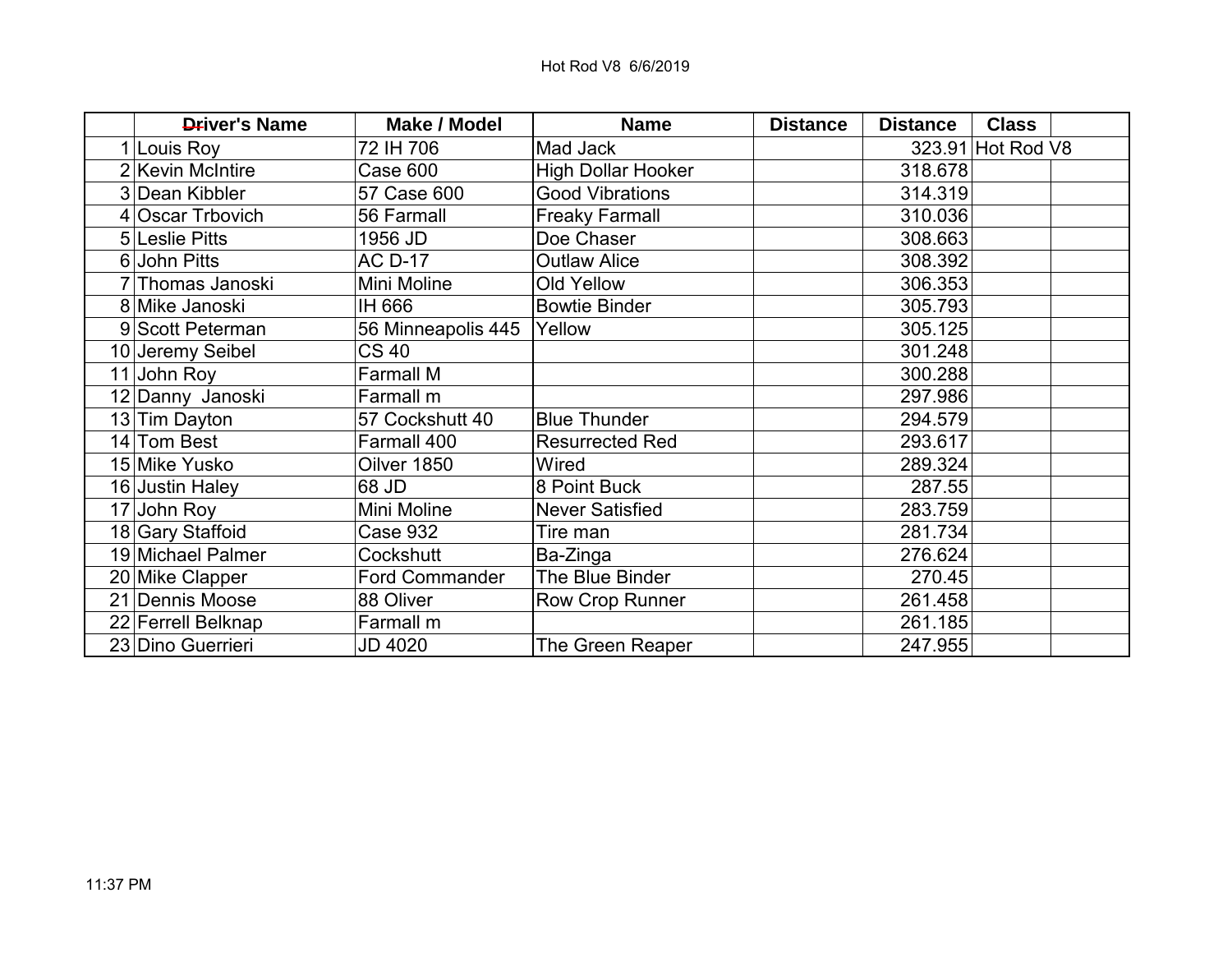| <b>Driver's Name</b> | <b>Make / Model</b>   | <b>Name</b>               | <b>Distance</b> | <b>Distance</b> | <b>Class</b>      |  |
|----------------------|-----------------------|---------------------------|-----------------|-----------------|-------------------|--|
| 1 Louis Roy          | 72 IH 706             | Mad Jack                  |                 |                 | 323.91 Hot Rod V8 |  |
| 2 Kevin McIntire     | Case 600              | <b>High Dollar Hooker</b> |                 | 318.678         |                   |  |
| 3 Dean Kibbler       | 57 Case 600           | <b>Good Vibrations</b>    |                 | 314.319         |                   |  |
| 4 Oscar Trbovich     | 56 Farmall            | <b>Freaky Farmall</b>     |                 | 310.036         |                   |  |
| 5 Leslie Pitts       | 1956 JD               | Doe Chaser                |                 | 308.663         |                   |  |
| 6 John Pitts         | <b>AC D-17</b>        | <b>Outlaw Alice</b>       |                 | 308.392         |                   |  |
| 7 Thomas Janoski     | Mini Moline           | Old Yellow                |                 | 306.353         |                   |  |
| 8 Mike Janoski       | IH 666                | <b>Bowtie Binder</b>      |                 | 305.793         |                   |  |
| 9 Scott Peterman     | 56 Minneapolis 445    | Yellow                    |                 | 305.125         |                   |  |
| 10 Jeremy Seibel     | CS 40                 |                           |                 | 301.248         |                   |  |
| 11 John Roy          | <b>Farmall M</b>      |                           |                 | 300.288         |                   |  |
| 12 Danny Janoski     | Farmall m             |                           |                 | 297.986         |                   |  |
| 13 Tim Dayton        | 57 Cockshutt 40       | <b>Blue Thunder</b>       |                 | 294.579         |                   |  |
| 14 Tom Best          | Farmall 400           | <b>Resurrected Red</b>    |                 | 293.617         |                   |  |
| 15 Mike Yusko        | Oilver 1850           | Wired                     |                 | 289.324         |                   |  |
| 16 Justin Haley      | 68 JD                 | 8 Point Buck              |                 | 287.55          |                   |  |
| $17$ John Roy        | Mini Moline           | <b>Never Satisfied</b>    |                 | 283.759         |                   |  |
| 18 Gary Staffoid     | <b>Case 932</b>       | Tire man                  |                 | 281.734         |                   |  |
| 19 Michael Palmer    | Cockshutt             | Ba-Zinga                  |                 | 276.624         |                   |  |
| 20 Mike Clapper      | <b>Ford Commander</b> | The Blue Binder           |                 | 270.45          |                   |  |
| 21 Dennis Moose      | 88 Oliver             | <b>Row Crop Runner</b>    |                 | 261.458         |                   |  |
| 22 Ferrell Belknap   | Farmall m             |                           |                 | 261.185         |                   |  |
| 23 Dino Guerrieri    | JD 4020               | The Green Reaper          |                 | 247.955         |                   |  |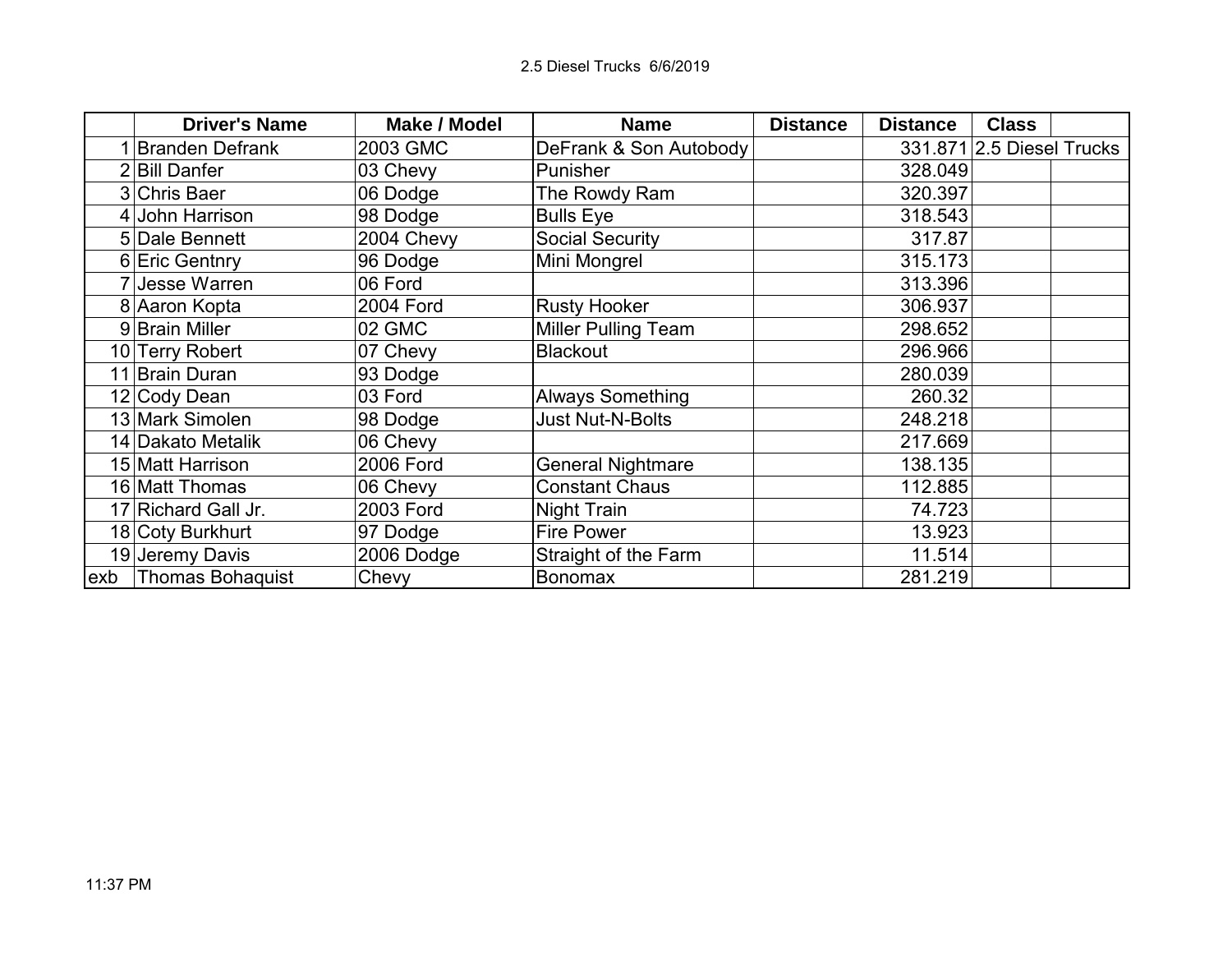|      | <b>Driver's Name</b>   | <b>Make / Model</b> | <b>Name</b>                | <b>Distance</b> | <b>Distance</b> | <b>Class</b>              |  |
|------|------------------------|---------------------|----------------------------|-----------------|-----------------|---------------------------|--|
|      | <b>Branden Defrank</b> | 2003 GMC            | DeFrank & Son Autobody     |                 |                 | 331.871 2.5 Diesel Trucks |  |
|      | 2 Bill Danfer          | 03 Chevy            | Punisher                   |                 | 328.049         |                           |  |
|      | 3 Chris Baer           | 06 Dodge            | The Rowdy Ram              |                 | 320.397         |                           |  |
|      | 4 John Harrison        | 98 Dodge            | <b>Bulls Eye</b>           |                 | 318.543         |                           |  |
|      | 5 Dale Bennett         | 2004 Chevy          | <b>Social Security</b>     |                 | 317.87          |                           |  |
|      | 6 Eric Gentnry         | 96 Dodge            | Mini Mongrel               |                 | 315.173         |                           |  |
|      | 7 Jesse Warren         | 06 Ford             |                            |                 | 313.396         |                           |  |
|      | 8 Aaron Kopta          | <b>2004 Ford</b>    | <b>Rusty Hooker</b>        |                 | 306.937         |                           |  |
|      | 9 Brain Miller         | 02 GMC              | <b>Miller Pulling Team</b> |                 | 298.652         |                           |  |
|      | 10 Terry Robert        | 07 Chevy            | <b>Blackout</b>            |                 | 296.966         |                           |  |
| 11   | Brain Duran            | 93 Dodge            |                            |                 | 280.039         |                           |  |
|      | 12 Cody Dean           | 03 Ford             | <b>Always Something</b>    |                 | 260.32          |                           |  |
|      | 13 Mark Simolen        | 98 Dodge            | <b>Just Nut-N-Bolts</b>    |                 | 248.218         |                           |  |
|      | 14 Dakato Metalik      | 06 Chevy            |                            |                 | 217.669         |                           |  |
|      | 15 Matt Harrison       | 2006 Ford           | <b>General Nightmare</b>   |                 | 138.135         |                           |  |
|      | 16 Matt Thomas         | 06 Chevy            | <b>Constant Chaus</b>      |                 | 112.885         |                           |  |
|      | 17 Richard Gall Jr.    | 2003 Ford           | Night Train                |                 | 74.723          |                           |  |
|      | 18 Coty Burkhurt       | 97 Dodge            | <b>Fire Power</b>          |                 | 13.923          |                           |  |
|      | 19 Jeremy Davis        | 2006 Dodge          | Straight of the Farm       |                 | 11.514          |                           |  |
| lexb | Thomas Bohaquist       | Chevy               | <b>Bonomax</b>             |                 | 281.219         |                           |  |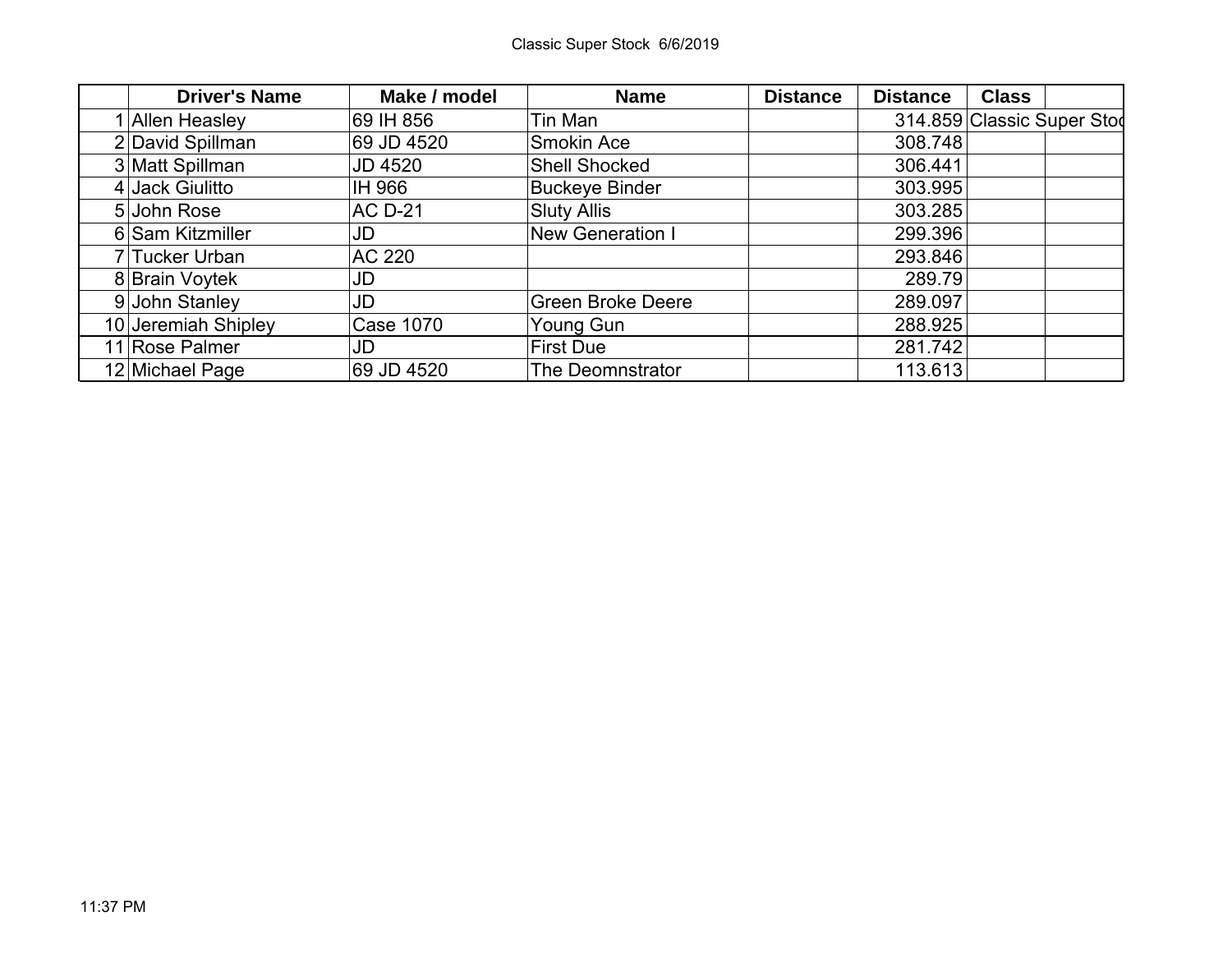| <b>Driver's Name</b> | Make / model     | <b>Name</b>              | <b>Distance</b> | <b>Distance</b> | <b>Class</b>               |  |
|----------------------|------------------|--------------------------|-----------------|-----------------|----------------------------|--|
| <b>Allen Heasley</b> | 69 IH 856        | Tin Man                  |                 |                 | 314.859 Classic Super Stoc |  |
| 2 David Spillman     | 69 JD 4520       | <b>Smokin Ace</b>        |                 | 308.748         |                            |  |
| 3 Matt Spillman      | JD 4520          | <b>Shell Shocked</b>     |                 | 306.441         |                            |  |
| 4 Jack Giulitto      | IH 966           | <b>Buckeye Binder</b>    |                 | 303.995         |                            |  |
| 5 John Rose          | <b>AC D-21</b>   | <b>Sluty Allis</b>       |                 | 303.285         |                            |  |
| 6 Sam Kitzmiller     | JD               | <b>New Generation I</b>  |                 | 299.396         |                            |  |
| 7 Tucker Urban       | <b>AC 220</b>    |                          |                 | 293.846         |                            |  |
| 8 Brain Voytek       | JD               |                          |                 | 289.79          |                            |  |
| 9 John Stanley       | JD               | <b>Green Broke Deere</b> |                 | 289.097         |                            |  |
| 10 Jeremiah Shipley  | <b>Case 1070</b> | Young Gun                |                 | 288.925         |                            |  |
| 11 Rose Palmer       | JD               | <b>First Due</b>         |                 | 281.742         |                            |  |
| 12 Michael Page      | 69 JD 4520       | The Deomnstrator         |                 | 113.613         |                            |  |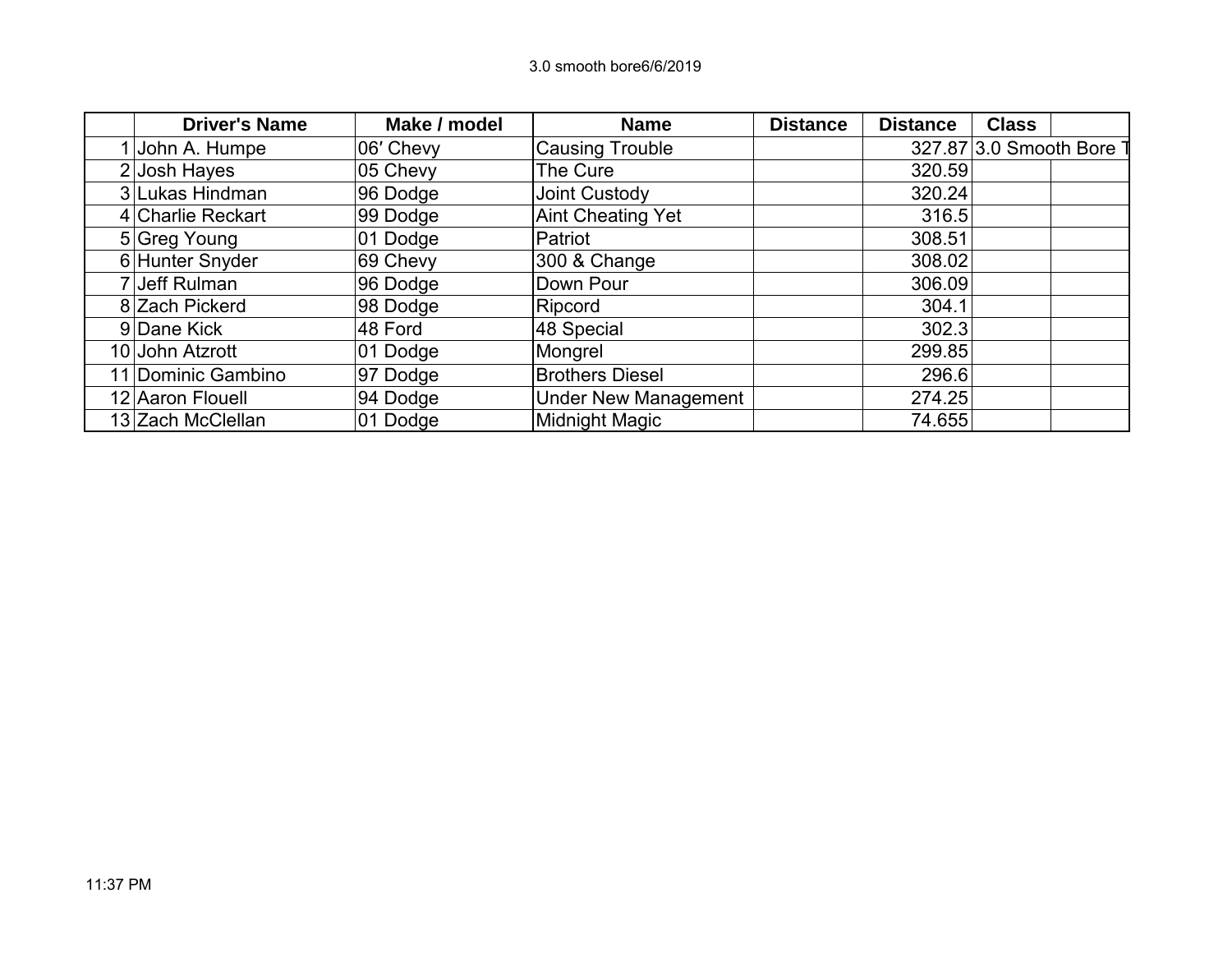| <b>Driver's Name</b> | Make / model | <b>Name</b>                 | <b>Distance</b> | <b>Distance</b> | <b>Class</b>           |  |
|----------------------|--------------|-----------------------------|-----------------|-----------------|------------------------|--|
| John A. Humpe        | 06' Chevy    | <b>Causing Trouble</b>      |                 |                 | 327.87 3.0 Smooth Bore |  |
| 2 Josh Hayes         | 05 Chevy     | The Cure                    |                 | 320.59          |                        |  |
| 3 Lukas Hindman      | 96 Dodge     | Joint Custody               |                 | 320.24          |                        |  |
| 4 Charlie Reckart    | 99 Dodge     | <b>Aint Cheating Yet</b>    |                 | 316.5           |                        |  |
| 5 Greg Young         | 01 Dodge     | Patriot                     |                 | 308.51          |                        |  |
| 6 Hunter Snyder      | 69 Chevy     | 300 & Change                |                 | 308.02          |                        |  |
| Jeff Rulman          | 96 Dodge     | Down Pour                   |                 | 306.09          |                        |  |
| 8 Zach Pickerd       | 98 Dodge     | Ripcord                     |                 | 304.1           |                        |  |
| 9 Dane Kick          | 48 Ford      | 48 Special                  |                 | 302.3           |                        |  |
| 10 John Atzrott      | 01 Dodge     | Mongrel                     |                 | 299.85          |                        |  |
| 11 Dominic Gambino   | 97 Dodge     | <b>Brothers Diesel</b>      |                 | 296.6           |                        |  |
| 12 Aaron Flouell     | 94 Dodge     | <b>Under New Management</b> |                 | 274.25          |                        |  |
| 13 Zach McClellan    | 01 Dodge     | <b>Midnight Magic</b>       |                 | 74.655          |                        |  |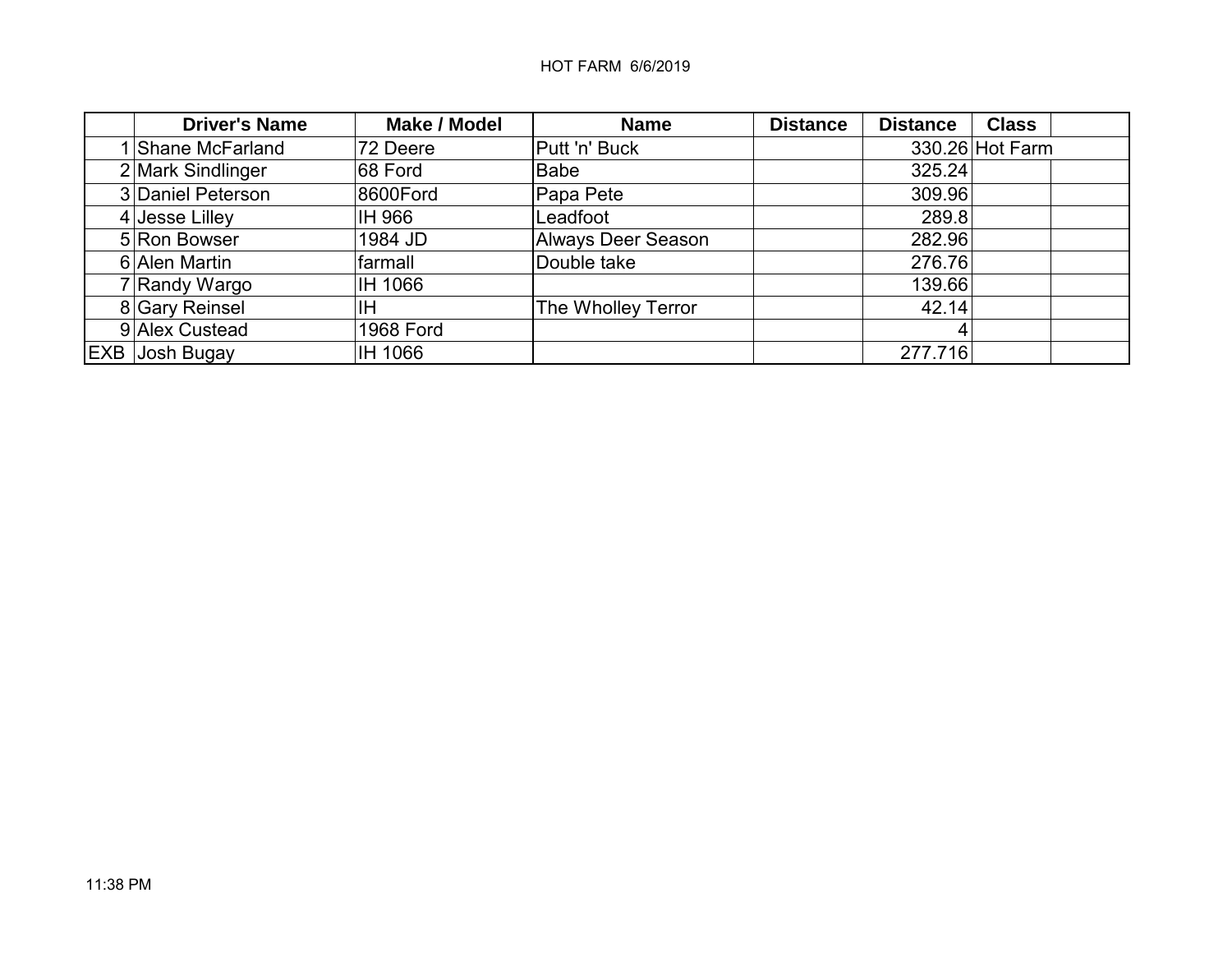| <b>Driver's Name</b>  | <b>Make / Model</b> | <b>Name</b>               | <b>Distance</b> | <b>Distance</b><br><b>Class</b> |  |
|-----------------------|---------------------|---------------------------|-----------------|---------------------------------|--|
| I Shane McFarland     | 72 Deere            | Putt 'n' Buck             |                 | 330.26 Hot Farm                 |  |
| 2 Mark Sindlinger     | 68 Ford             | Babe                      |                 | 325.24                          |  |
| 3 Daniel Peterson     | 8600Ford            | Papa Pete                 |                 | 309.96                          |  |
| $4$ Jesse Lilley      | IH 966              | Leadfoot                  |                 | 289.8                           |  |
| 5 Ron Bowser          | 1984 JD             | <b>Always Deer Season</b> |                 | 282.96                          |  |
| 6 Alen Martin         | farmall             | Double take               |                 | 276.76                          |  |
| 7 Randy Wargo         | IH 1066             |                           |                 | 139.66                          |  |
| 8 Gary Reinsel        | ΙH                  | The Wholley Terror        |                 | 42.14                           |  |
| 9 Alex Custead        | <b>1968 Ford</b>    |                           |                 | 4                               |  |
| <b>EXB Josh Bugay</b> | IH 1066             |                           |                 | 277.716                         |  |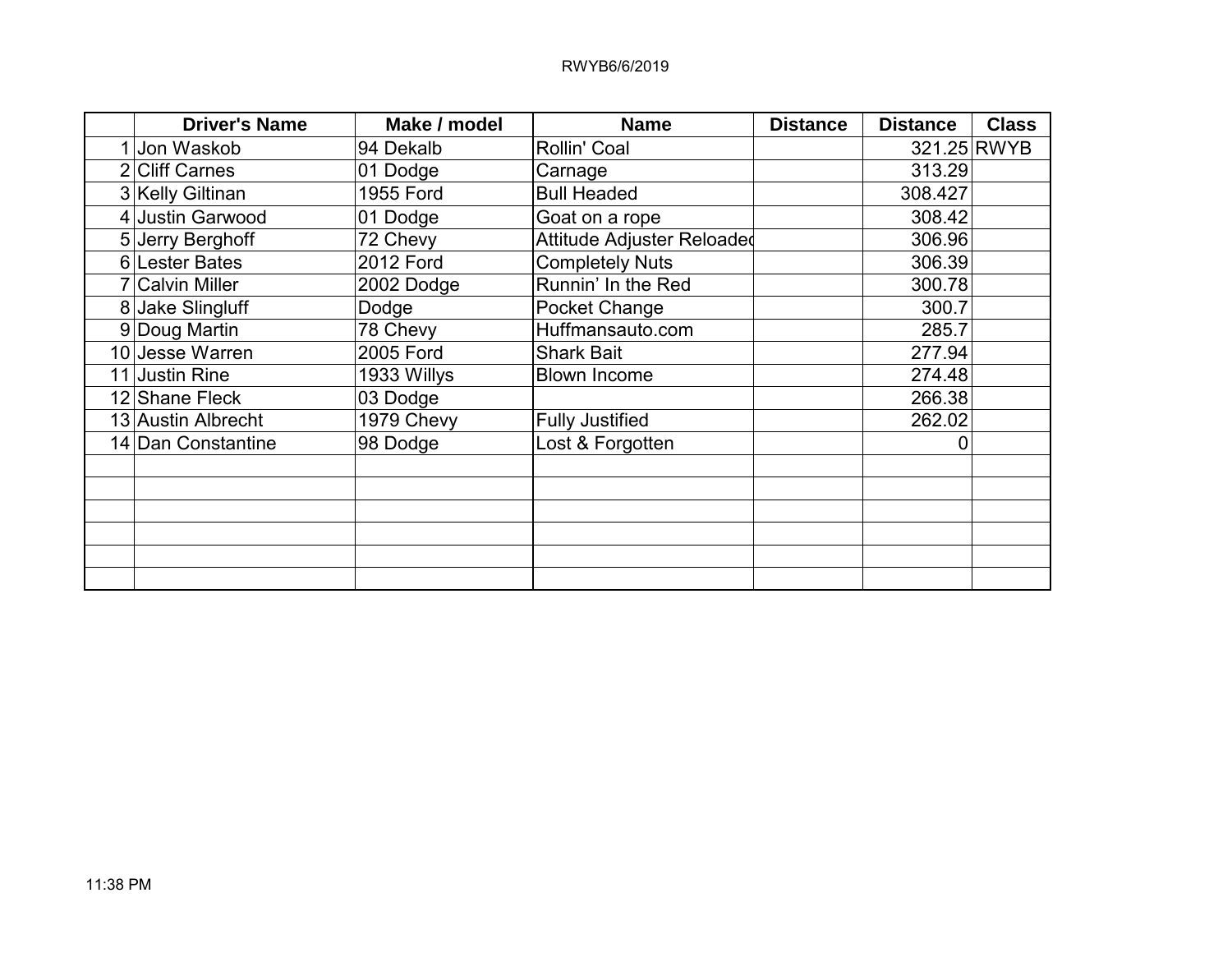## RWYB6/6/2019

| <b>Driver's Name</b> | Make / model     | <b>Name</b>                | <b>Distance</b> | <b>Distance</b> | <b>Class</b> |
|----------------------|------------------|----------------------------|-----------------|-----------------|--------------|
| 1 Jon Waskob         | 94 Dekalb        | Rollin' Coal               |                 | 321.25 RWYB     |              |
| 2 Cliff Carnes       | 01 Dodge         | Carnage                    |                 | 313.29          |              |
| 3 Kelly Giltinan     | <b>1955 Ford</b> | <b>Bull Headed</b>         |                 | 308.427         |              |
| 4 Justin Garwood     | 01 Dodge         | Goat on a rope             |                 | 308.42          |              |
| 5 Jerry Berghoff     | 72 Chevy         | Attitude Adjuster Reloaded |                 | 306.96          |              |
| 6 Lester Bates       | <b>2012 Ford</b> | <b>Completely Nuts</b>     |                 | 306.39          |              |
| 7 Calvin Miller      | 2002 Dodge       | Runnin' In the Red         |                 | 300.78          |              |
| 8 Jake Slingluff     | Dodge            | Pocket Change              |                 | 300.7           |              |
| 9 Doug Martin        | 78 Chevy         | Huffmansauto.com           |                 | 285.7           |              |
| 10 Jesse Warren      | 2005 Ford        | <b>Shark Bait</b>          |                 | 277.94          |              |
| 11 Justin Rine       | 1933 Willys      | <b>Blown Income</b>        |                 | 274.48          |              |
| 12 Shane Fleck       | 03 Dodge         |                            |                 | 266.38          |              |
| 13 Austin Albrecht   | 1979 Chevy       | <b>Fully Justified</b>     |                 | 262.02          |              |
| 14 Dan Constantine   | 98 Dodge         | Lost & Forgotten           |                 | 0               |              |
|                      |                  |                            |                 |                 |              |
|                      |                  |                            |                 |                 |              |
|                      |                  |                            |                 |                 |              |
|                      |                  |                            |                 |                 |              |
|                      |                  |                            |                 |                 |              |
|                      |                  |                            |                 |                 |              |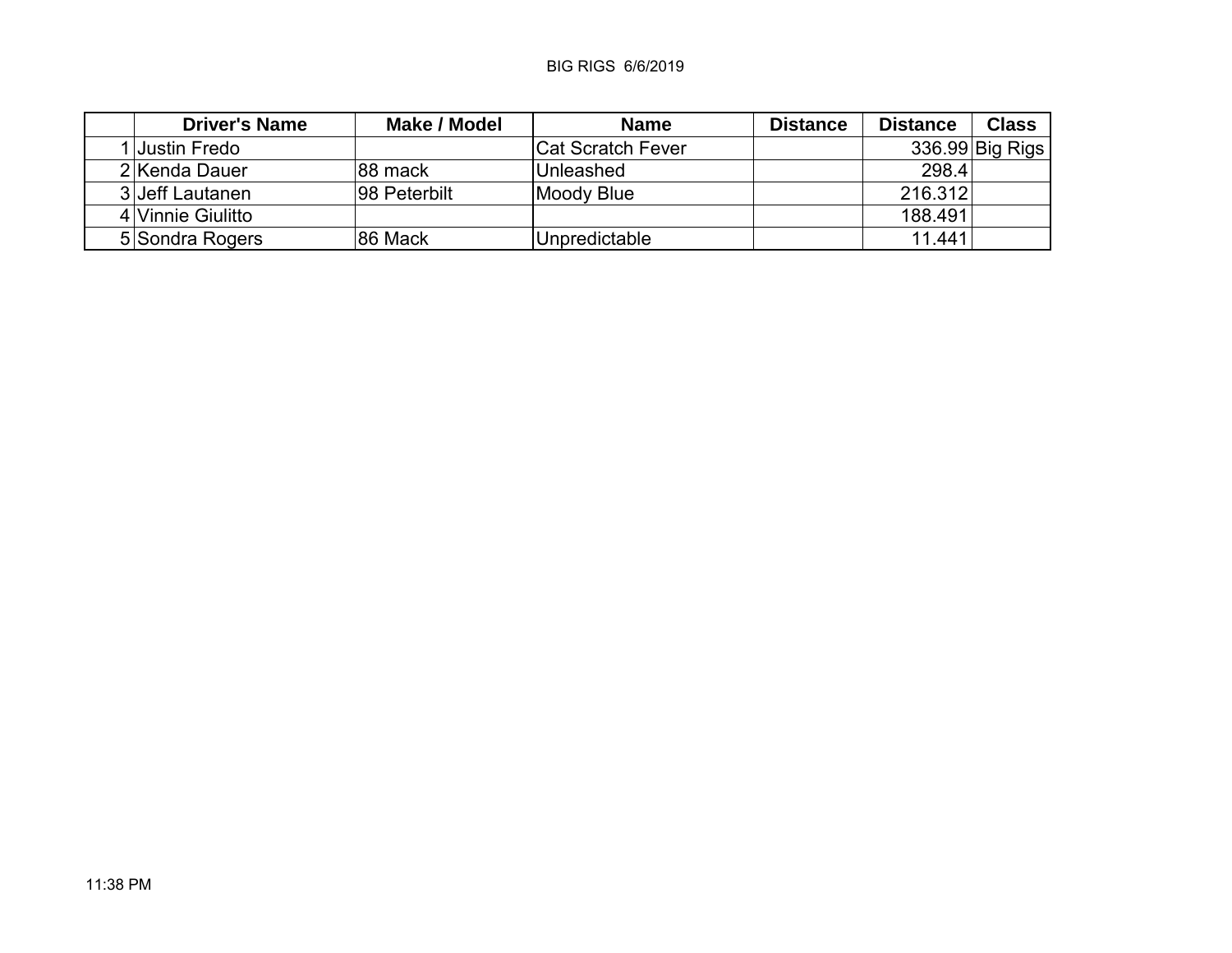## BIG RIGS 6/6/2019

| <b>Driver's Name</b> | Make / Model | <b>Name</b>        | <b>Distance</b> | <b>Distance</b> | <b>Class</b>    |
|----------------------|--------------|--------------------|-----------------|-----------------|-----------------|
| 1 Justin Fredo       |              | ∣Cat Scratch Fever |                 |                 | 336.99 Big Rigs |
| 2 Kenda Dauer        | ∣88 mack     | Unleashed          |                 | 298.4           |                 |
| 3 Jeff Lautanen      | 98 Peterbilt | Moody Blue         |                 | 216.312         |                 |
| 4 Vinnie Giulitto    |              |                    |                 | 188.491         |                 |
| 5 Sondra Rogers      | 86 Mack      | Unpredictable      |                 | 11.441          |                 |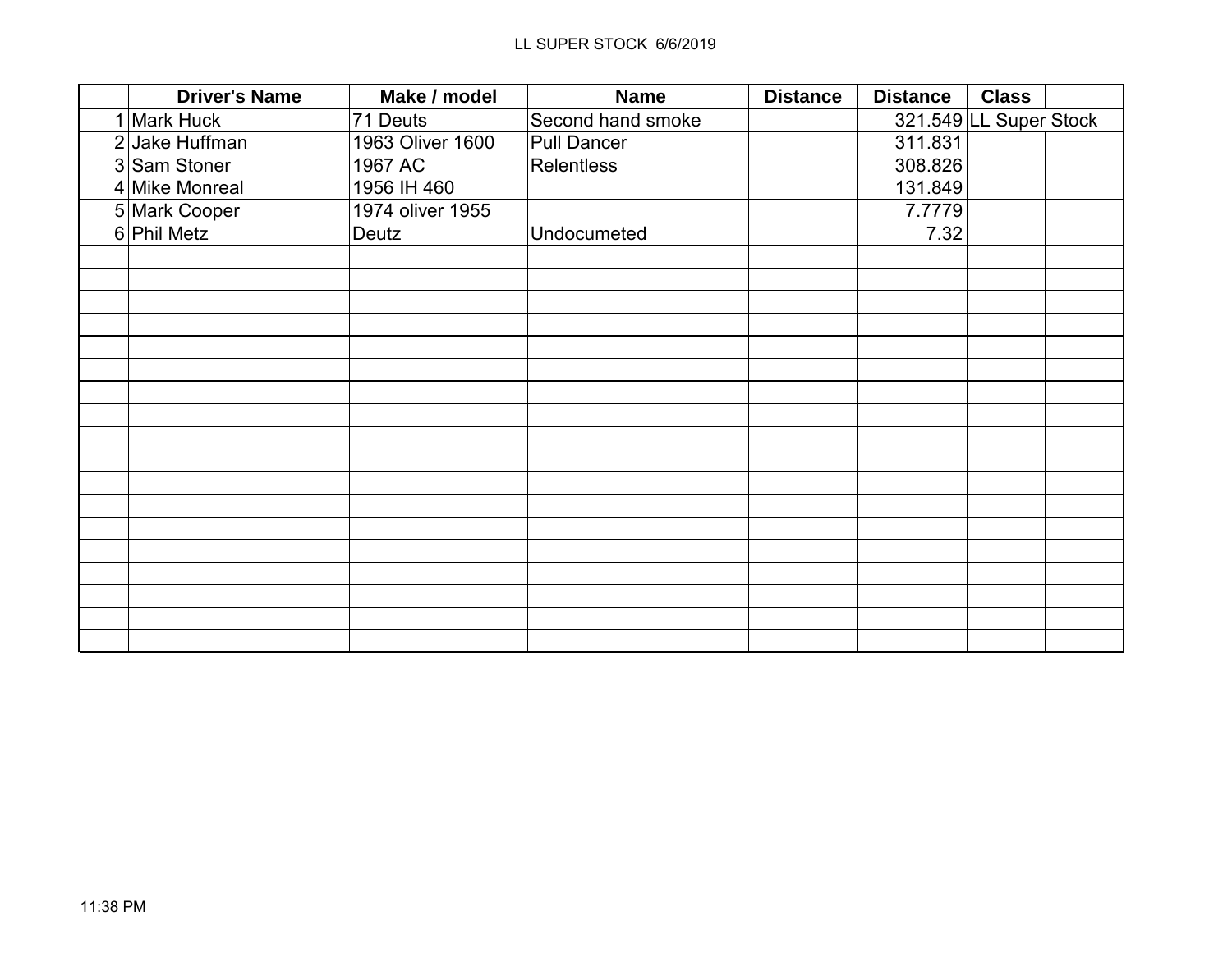| <b>Driver's Name</b> | Make / model     | <b>Name</b>        | <b>Distance</b> | <b>Distance</b> | <b>Class</b>           |
|----------------------|------------------|--------------------|-----------------|-----------------|------------------------|
| 1 Mark Huck          | 71 Deuts         | Second hand smoke  |                 |                 | 321.549 LL Super Stock |
| 2 Jake Huffman       | 1963 Oliver 1600 | <b>Pull Dancer</b> |                 | 311.831         |                        |
| 3 Sam Stoner         | 1967 AC          | <b>Relentless</b>  |                 | 308.826         |                        |
| 4 Mike Monreal       | 1956 IH 460      |                    |                 | 131.849         |                        |
| 5 Mark Cooper        | 1974 oliver 1955 |                    |                 | 7.7779          |                        |
| $6$ Phil Metz        | Deutz            | Undocumeted        |                 | 7.32            |                        |
|                      |                  |                    |                 |                 |                        |
|                      |                  |                    |                 |                 |                        |
|                      |                  |                    |                 |                 |                        |
|                      |                  |                    |                 |                 |                        |
|                      |                  |                    |                 |                 |                        |
|                      |                  |                    |                 |                 |                        |
|                      |                  |                    |                 |                 |                        |
|                      |                  |                    |                 |                 |                        |
|                      |                  |                    |                 |                 |                        |
|                      |                  |                    |                 |                 |                        |
|                      |                  |                    |                 |                 |                        |
|                      |                  |                    |                 |                 |                        |
|                      |                  |                    |                 |                 |                        |
|                      |                  |                    |                 |                 |                        |
|                      |                  |                    |                 |                 |                        |
|                      |                  |                    |                 |                 |                        |
|                      |                  |                    |                 |                 |                        |
|                      |                  |                    |                 |                 |                        |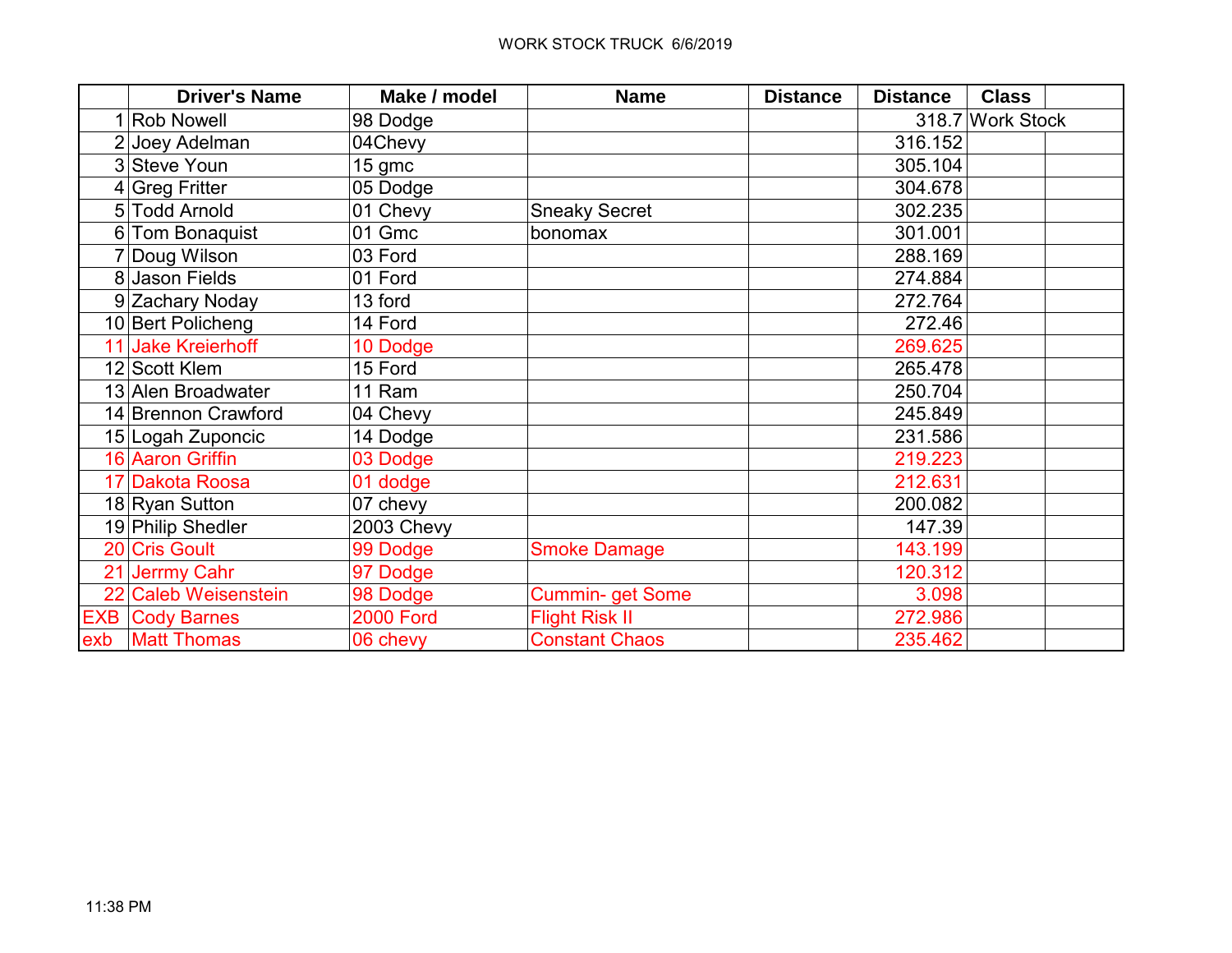| <b>Driver's Name</b>   | Make / model     | <b>Name</b>             | <b>Distance</b> | <b>Distance</b> | <b>Class</b>     |
|------------------------|------------------|-------------------------|-----------------|-----------------|------------------|
| <b>Rob Nowell</b>      | 98 Dodge         |                         |                 |                 | 318.7 Work Stock |
| 2 Joey Adelman         | 04Chevy          |                         |                 | 316.152         |                  |
| 3 Steve Youn           | $15$ gmc         |                         |                 | 305.104         |                  |
| $4 Greg$ Fritter       | 05 Dodge         |                         |                 | 304.678         |                  |
| 5 Todd Arnold          | 01 Chevy         | <b>Sneaky Secret</b>    |                 | 302.235         |                  |
| 6 Tom Bonaquist        | 01 Gmc           | bonomax                 |                 | 301.001         |                  |
| 7 Doug Wilson          | 03 Ford          |                         |                 | 288.169         |                  |
| 8 Jason Fields         | 01 Ford          |                         |                 | 274.884         |                  |
| 9 Zachary Noday        | 13 ford          |                         |                 | 272.764         |                  |
| 10 Bert Policheng      | 14 Ford          |                         |                 | 272.46          |                  |
| 11 Jake Kreierhoff     | 10 Dodge         |                         |                 | 269.625         |                  |
| 12 Scott Klem          | 15 Ford          |                         |                 | 265.478         |                  |
| 13 Alen Broadwater     | 11 Ram           |                         |                 | 250.704         |                  |
| 14 Brennon Crawford    | 04 Chevy         |                         |                 | 245.849         |                  |
| 15 Logah Zuponcic      | 14 Dodge         |                         |                 | 231.586         |                  |
| 16 Aaron Griffin       | 03 Dodge         |                         |                 | 219.223         |                  |
| 17 Dakota Roosa        | 01 dodge         |                         |                 | 212.631         |                  |
| 18 Ryan Sutton         | 07 chevy         |                         |                 | 200.082         |                  |
| 19 Philip Shedler      | 2003 Chevy       |                         |                 | 147.39          |                  |
| 20 Cris Goult          | 99 Dodge         | <b>Smoke Damage</b>     |                 | 143.199         |                  |
| 21 Jerrmy Cahr         | 97 Dodge         |                         |                 | 120.312         |                  |
| 22 Caleb Weisenstein   | 98 Dodge         | <b>Cummin- get Some</b> |                 | 3.098           |                  |
| <b>EXB Cody Barnes</b> | <b>2000 Ford</b> | <b>Flight Risk II</b>   |                 | 272.986         |                  |
| exb   Matt Thomas      | 06 chevy         | <b>Constant Chaos</b>   |                 | 235.462         |                  |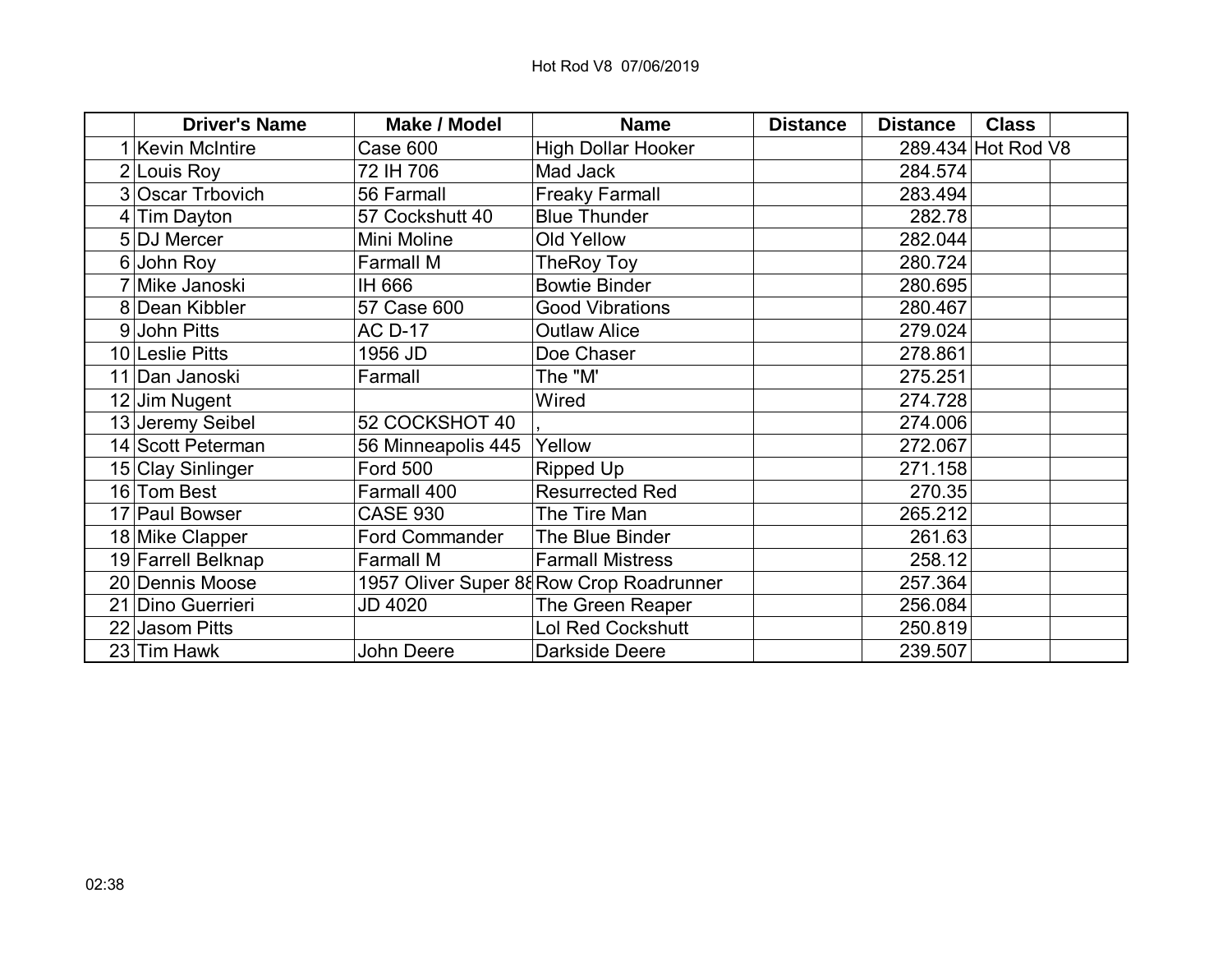| <b>Driver's Name</b>  | <b>Make / Model</b>   | <b>Name</b>                              | <b>Distance</b> | <b>Distance</b> | <b>Class</b>       |  |
|-----------------------|-----------------------|------------------------------------------|-----------------|-----------------|--------------------|--|
| <b>Kevin McIntire</b> | Case 600              | <b>High Dollar Hooker</b>                |                 |                 | 289.434 Hot Rod V8 |  |
| 2 Louis Roy           | 72 IH 706             | Mad Jack                                 |                 | 284.574         |                    |  |
| 3 Oscar Trbovich      | 56 Farmall            | <b>Freaky Farmall</b>                    |                 | 283.494         |                    |  |
| 4 Tim Dayton          | 57 Cockshutt 40       | <b>Blue Thunder</b>                      |                 | 282.78          |                    |  |
| 5 DJ Mercer           | Mini Moline           | <b>Old Yellow</b>                        |                 | 282.044         |                    |  |
| $6$ John Roy          | <b>Farmall M</b>      | TheRoy Toy                               |                 | 280.724         |                    |  |
| 7 Mike Janoski        | IH 666                | <b>Bowtie Binder</b>                     |                 | 280.695         |                    |  |
| 8 Dean Kibbler        | 57 Case 600           | <b>Good Vibrations</b>                   |                 | 280.467         |                    |  |
| 9 John Pitts          | <b>AC D-17</b>        | <b>Outlaw Alice</b>                      |                 | 279.024         |                    |  |
| 10 Leslie Pitts       | 1956 JD               | Doe Chaser                               |                 | 278.861         |                    |  |
| 11 Dan Janoski        | Farmall               | The "M'                                  |                 | 275.251         |                    |  |
| 12 Jim Nugent         |                       | Wired                                    |                 | 274.728         |                    |  |
| 13 Jeremy Seibel      | 52 COCKSHOT 40        |                                          |                 | 274.006         |                    |  |
| 14 Scott Peterman     | 56 Minneapolis 445    | Yellow                                   |                 | 272.067         |                    |  |
| 15 Clay Sinlinger     | <b>Ford 500</b>       | <b>Ripped Up</b>                         |                 | 271.158         |                    |  |
| 16 Tom Best           | Farmall 400           | <b>Resurrected Red</b>                   |                 | 270.35          |                    |  |
| 17 Paul Bowser        | <b>CASE 930</b>       | The Tire Man                             |                 | 265.212         |                    |  |
| 18 Mike Clapper       | <b>Ford Commander</b> | The Blue Binder                          |                 | 261.63          |                    |  |
| 19 Farrell Belknap    | <b>Farmall M</b>      | <b>Farmall Mistress</b>                  |                 | 258.12          |                    |  |
| 20 Dennis Moose       |                       | 1957 Oliver Super 88 Row Crop Roadrunner |                 | 257.364         |                    |  |
| 21 Dino Guerrieri     | <b>JD 4020</b>        | <b>The Green Reaper</b>                  |                 | 256.084         |                    |  |
| 22 Jasom Pitts        |                       | <b>Lol Red Cockshutt</b>                 |                 | 250.819         |                    |  |
| 23 Tim Hawk           | John Deere            | <b>Darkside Deere</b>                    |                 | 239.507         |                    |  |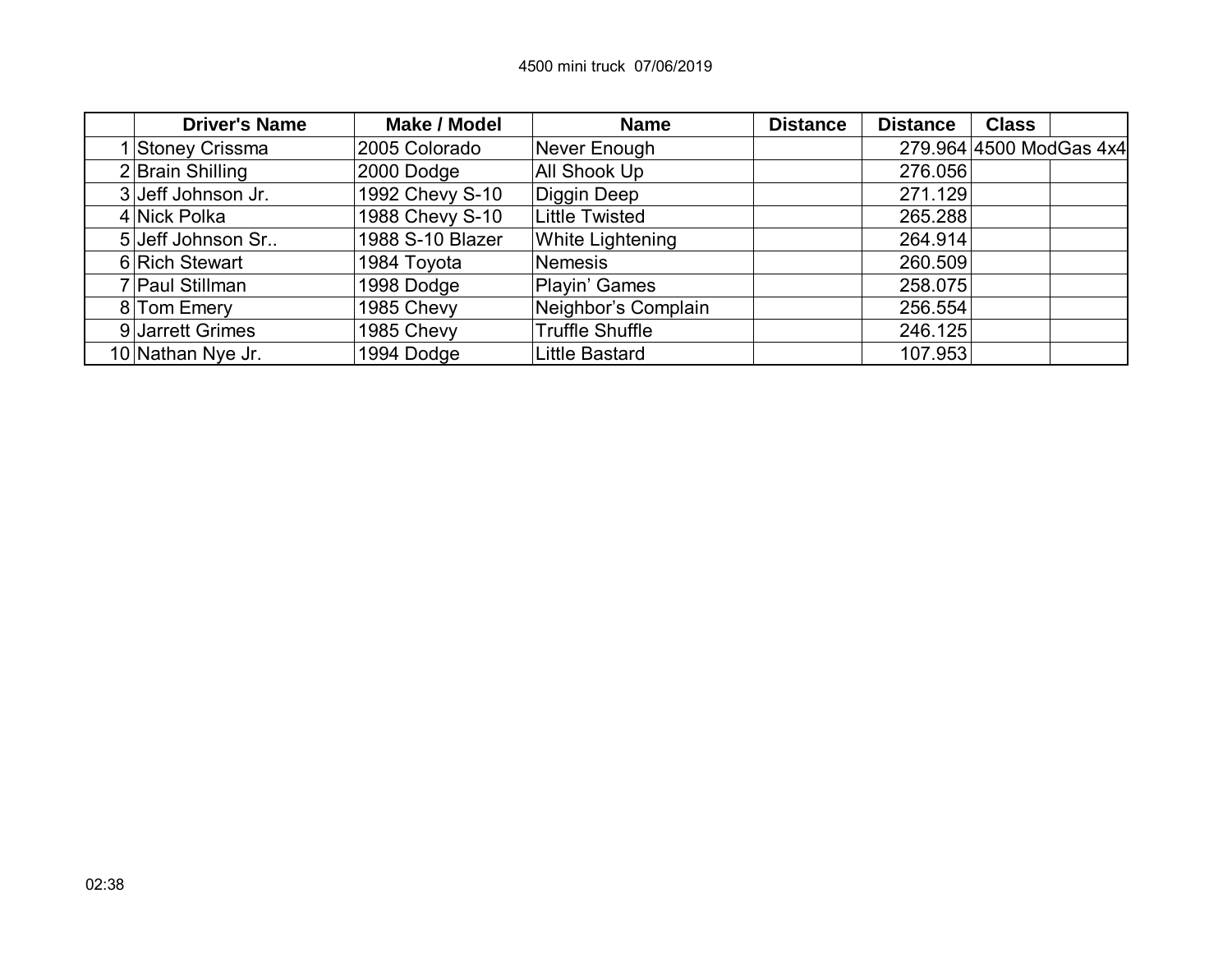| <b>Driver's Name</b> | Make / Model     | <b>Name</b>             | <b>Distance</b> | <b>Distance</b> | <b>Class</b>            |  |
|----------------------|------------------|-------------------------|-----------------|-----------------|-------------------------|--|
| Stoney Crissma       | 2005 Colorado    | Never Enough            |                 |                 | 279.964 4500 ModGas 4x4 |  |
| 2 Brain Shilling     | 2000 Dodge       | <b>All Shook Up</b>     |                 | 276.056         |                         |  |
| 3 Jeff Johnson Jr.   | 1992 Chevy S-10  | Diggin Deep             |                 | 271.129         |                         |  |
| 4 Nick Polka         | 1988 Chevy S-10  | <b>Little Twisted</b>   |                 | 265.288         |                         |  |
| 5 Jeff Johnson Sr    | 1988 S-10 Blazer | <b>White Lightening</b> |                 | 264.914         |                         |  |
| 6 Rich Stewart       | 1984 Toyota      | <b>Nemesis</b>          |                 | 260.509         |                         |  |
| 7 Paul Stillman      | 1998 Dodge       | Playin' Games           |                 | 258.075         |                         |  |
| 8 Tom Emery          | 1985 Chevy       | Neighbor's Complain     |                 | 256.554         |                         |  |
| 9 Jarrett Grimes     | 1985 Chevy       | <b>Truffle Shuffle</b>  |                 | 246.125         |                         |  |
| 10 Nathan Nye Jr.    | 1994 Dodge       | <b>Little Bastard</b>   |                 | 107.953         |                         |  |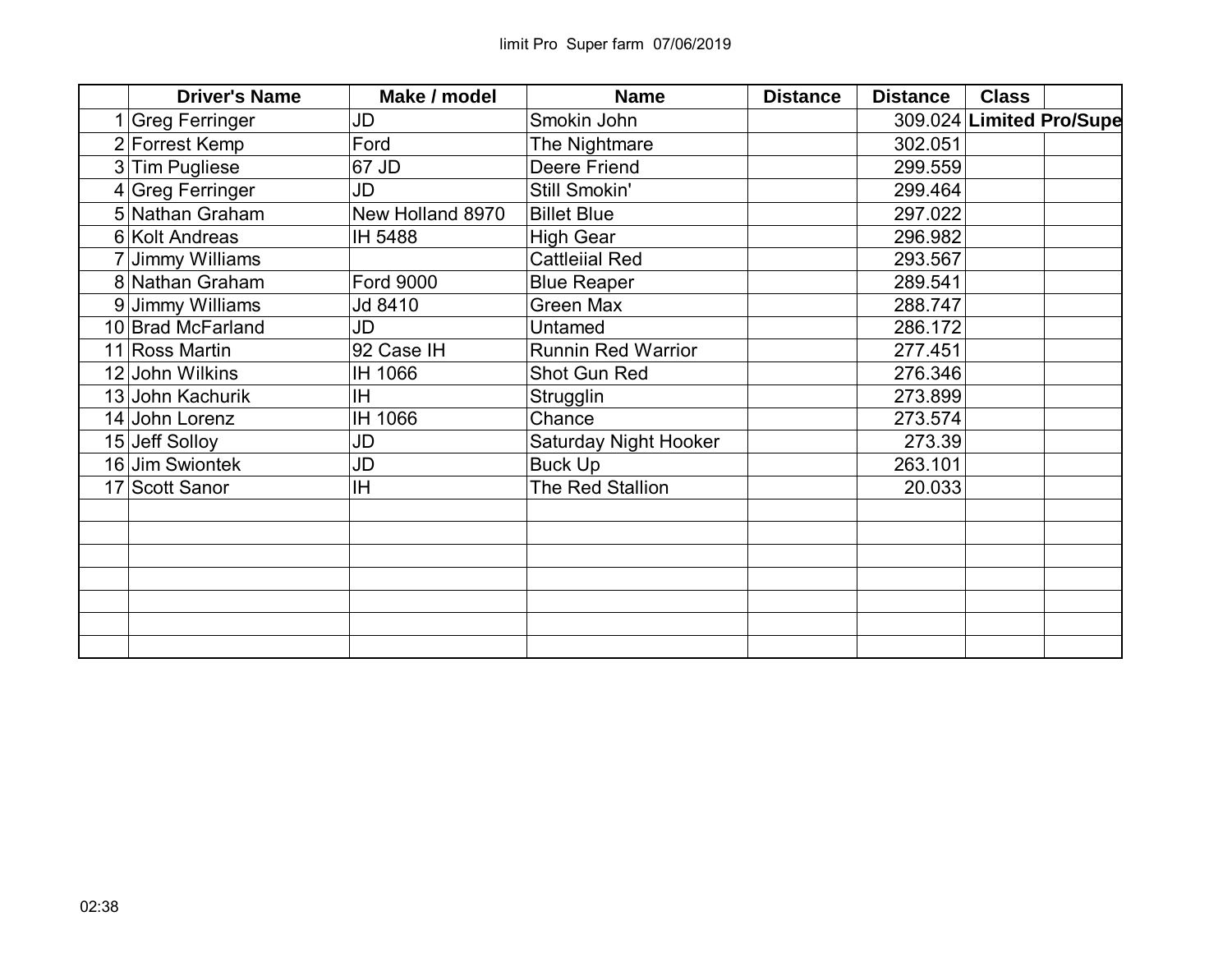| <b>Driver's Name</b> | Make / model     | <b>Name</b>               | <b>Distance</b> | <b>Distance</b> | <b>Class</b> |                          |
|----------------------|------------------|---------------------------|-----------------|-----------------|--------------|--------------------------|
| 1 Greg Ferringer     | JD               | Smokin John               |                 |                 |              | 309.024 Limited Pro/Supe |
| 2 Forrest Kemp       | Ford             | The Nightmare             |                 | 302.051         |              |                          |
| 3 Tim Pugliese       | 67 JD            | <b>Deere Friend</b>       |                 | 299.559         |              |                          |
| 4 Greg Ferringer     | JD               | Still Smokin'             |                 | 299.464         |              |                          |
| 5 Nathan Graham      | New Holland 8970 | <b>Billet Blue</b>        |                 | 297.022         |              |                          |
| 6 Kolt Andreas       | IH 5488          | <b>High Gear</b>          |                 | 296.982         |              |                          |
| Jimmy Williams       |                  | <b>Cattleiial Red</b>     |                 | 293.567         |              |                          |
| 8 Nathan Graham      | <b>Ford 9000</b> | <b>Blue Reaper</b>        |                 | 289.541         |              |                          |
| 9 Jimmy Williams     | Jd 8410          | <b>Green Max</b>          |                 | 288.747         |              |                          |
| 10 Brad McFarland    | JD               | Untamed                   |                 | 286.172         |              |                          |
| 11 Ross Martin       | 92 Case IH       | <b>Runnin Red Warrior</b> |                 | 277.451         |              |                          |
| 12 John Wilkins      | IH 1066          | Shot Gun Red              |                 | 276.346         |              |                          |
| 13 John Kachurik     | IH.              | Strugglin                 |                 | 273.899         |              |                          |
| 14 John Lorenz       | IH 1066          | Chance                    |                 | 273.574         |              |                          |
| 15 Jeff Solloy       | JD               | Saturday Night Hooker     |                 | 273.39          |              |                          |
| 16 Jim Swiontek      | JD               | <b>Buck Up</b>            |                 | 263.101         |              |                          |
| 17 Scott Sanor       | ΙH               | The Red Stallion          |                 | 20.033          |              |                          |
|                      |                  |                           |                 |                 |              |                          |
|                      |                  |                           |                 |                 |              |                          |
|                      |                  |                           |                 |                 |              |                          |
|                      |                  |                           |                 |                 |              |                          |
|                      |                  |                           |                 |                 |              |                          |
|                      |                  |                           |                 |                 |              |                          |
|                      |                  |                           |                 |                 |              |                          |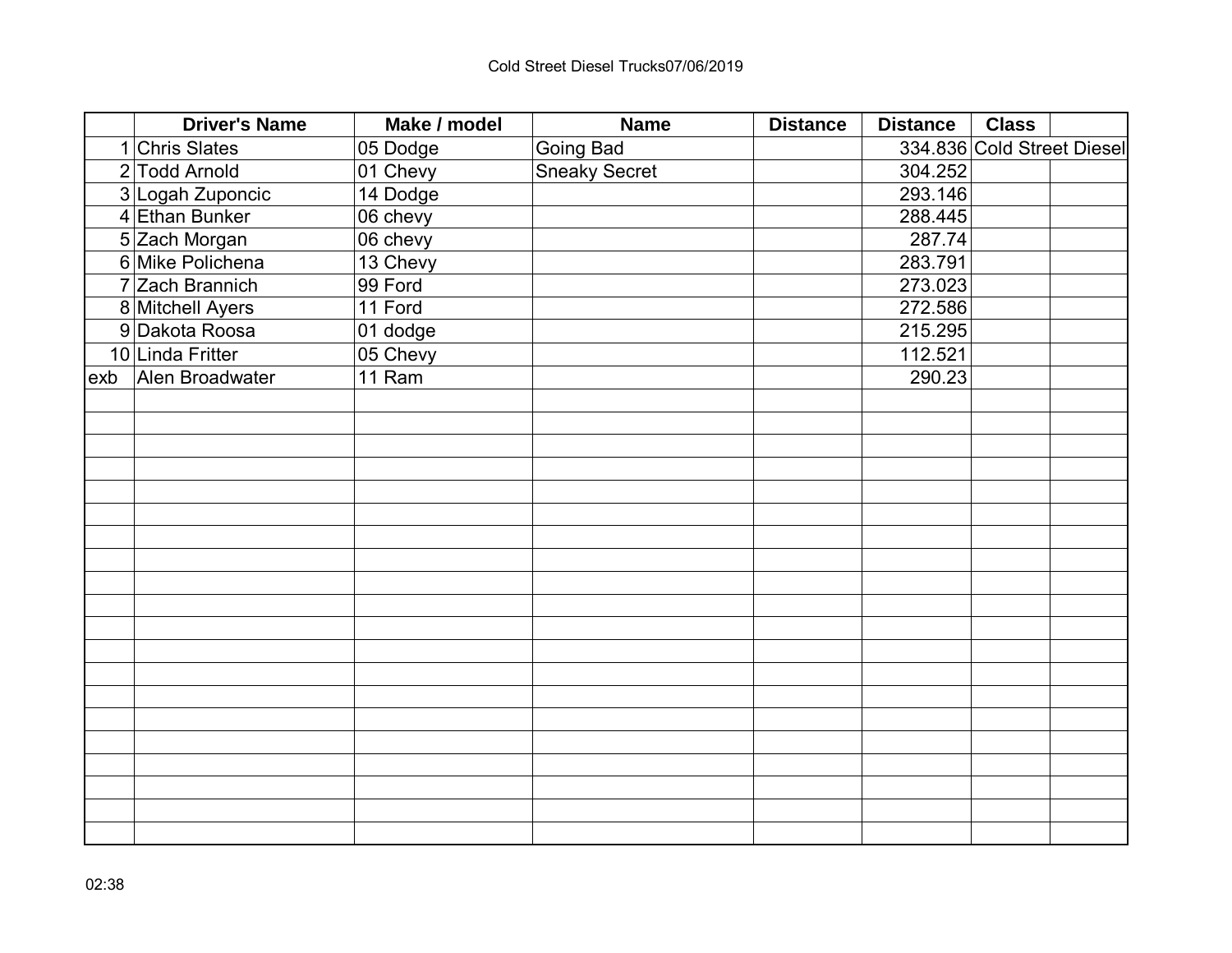| <b>Driver's Name</b>     | Make / model | <b>Name</b>          | <b>Distance</b> | <b>Distance</b> | <b>Class</b>               |  |
|--------------------------|--------------|----------------------|-----------------|-----------------|----------------------------|--|
| <b>Chris Slates</b><br>1 | 05 Dodge     | <b>Going Bad</b>     |                 |                 | 334.836 Cold Street Diesel |  |
| 2 Todd Arnold            | 01 Chevy     | <b>Sneaky Secret</b> |                 | 304.252         |                            |  |
| 3 Logah Zuponcic         | 14 Dodge     |                      |                 | 293.146         |                            |  |
| 4 Ethan Bunker           | 06 chevy     |                      |                 | 288.445         |                            |  |
| 5 Zach Morgan            | 06 chevy     |                      |                 | 287.74          |                            |  |
| 6 Mike Polichena         | 13 Chevy     |                      |                 | 283.791         |                            |  |
| 7 Zach Brannich          | 99 Ford      |                      |                 | 273.023         |                            |  |
| 8 Mitchell Ayers         | 11 Ford      |                      |                 | 272.586         |                            |  |
| Dakota Roosa<br>9        | 01 dodge     |                      |                 | 215.295         |                            |  |
| 10 Linda Fritter         | 05 Chevy     |                      |                 | 112.521         |                            |  |
| Alen Broadwater<br>exb   | 11 Ram       |                      |                 | 290.23          |                            |  |
|                          |              |                      |                 |                 |                            |  |
|                          |              |                      |                 |                 |                            |  |
|                          |              |                      |                 |                 |                            |  |
|                          |              |                      |                 |                 |                            |  |
|                          |              |                      |                 |                 |                            |  |
|                          |              |                      |                 |                 |                            |  |
|                          |              |                      |                 |                 |                            |  |
|                          |              |                      |                 |                 |                            |  |
|                          |              |                      |                 |                 |                            |  |
|                          |              |                      |                 |                 |                            |  |
|                          |              |                      |                 |                 |                            |  |
|                          |              |                      |                 |                 |                            |  |
|                          |              |                      |                 |                 |                            |  |
|                          |              |                      |                 |                 |                            |  |
|                          |              |                      |                 |                 |                            |  |
|                          |              |                      |                 |                 |                            |  |
|                          |              |                      |                 |                 |                            |  |
|                          |              |                      |                 |                 |                            |  |
|                          |              |                      |                 |                 |                            |  |
|                          |              |                      |                 |                 |                            |  |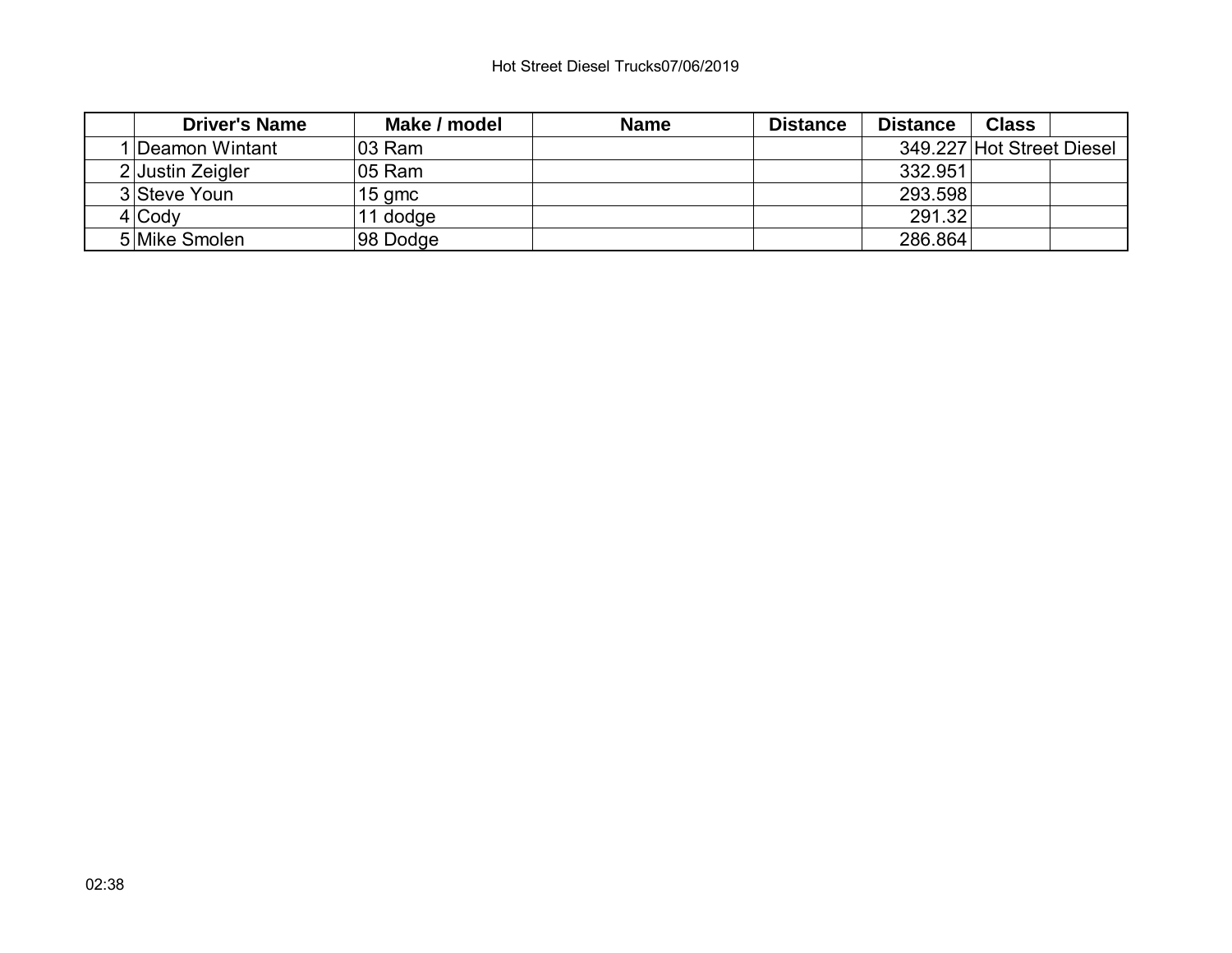## Hot Street Diesel Trucks07/06/2019

| <b>Driver's Name</b> | Make / model | <b>Name</b> | <b>Distance</b> | <b>Distance</b> | <b>Class</b>              |  |
|----------------------|--------------|-------------|-----------------|-----------------|---------------------------|--|
| 1 Deamon Wintant     | ∣03 Ram      |             |                 |                 | 349.227 Hot Street Diesel |  |
| 2 Justin Zeigler     | ∣05 Ram      |             |                 | 332.951         |                           |  |
| 3 Steve Youn         | $15$ gmc     |             |                 | 293.598         |                           |  |
| $4$ Cody             | 11 dodge     |             |                 | 291.32          |                           |  |
| 5 Mike Smolen        | 98 Dodge     |             |                 | 286.864         |                           |  |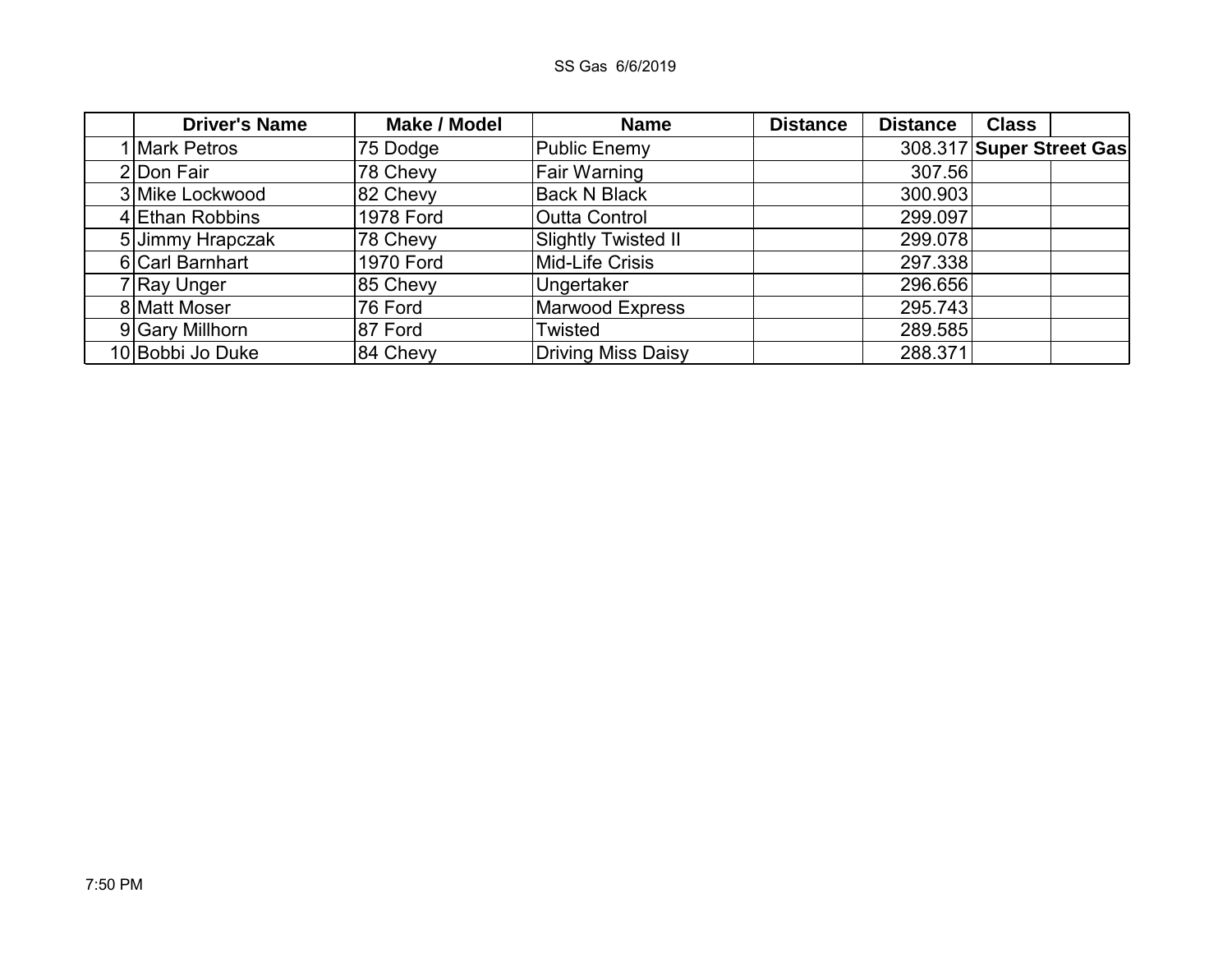| <b>Driver's Name</b> | <b>Make / Model</b> | <b>Name</b>                | <b>Distance</b> | <b>Distance</b> | <b>Class</b>             |  |
|----------------------|---------------------|----------------------------|-----------------|-----------------|--------------------------|--|
| I Mark Petros        | 75 Dodge            | <b>Public Enemy</b>        |                 |                 | 308.317 Super Street Gas |  |
| 2 Don Fair           | 78 Chevy            | <b>Fair Warning</b>        |                 | 307.56          |                          |  |
| 3 Mike Lockwood      | 82 Chevy            | <b>Back N Black</b>        |                 | 300.903         |                          |  |
| 4 Ethan Robbins      | <b>1978 Ford</b>    | Outta Control              |                 | 299.097         |                          |  |
| 5 Jimmy Hrapczak     | 78 Chevy            | <b>Slightly Twisted II</b> |                 | 299.078         |                          |  |
| 6 Carl Barnhart      | <b>1970 Ford</b>    | Mid-Life Crisis            |                 | 297.338         |                          |  |
| 7 Ray Unger          | 85 Chevy            | Ungertaker                 |                 | 296.656         |                          |  |
| 8 Matt Moser         | 76 Ford             | Marwood Express            |                 | 295.743         |                          |  |
| 9 Gary Millhorn      | 87 Ford             | Twisted                    |                 | 289.585         |                          |  |
| 10 Bobbi Jo Duke     | 84 Chevy            | Driving Miss Daisy         |                 | 288.371         |                          |  |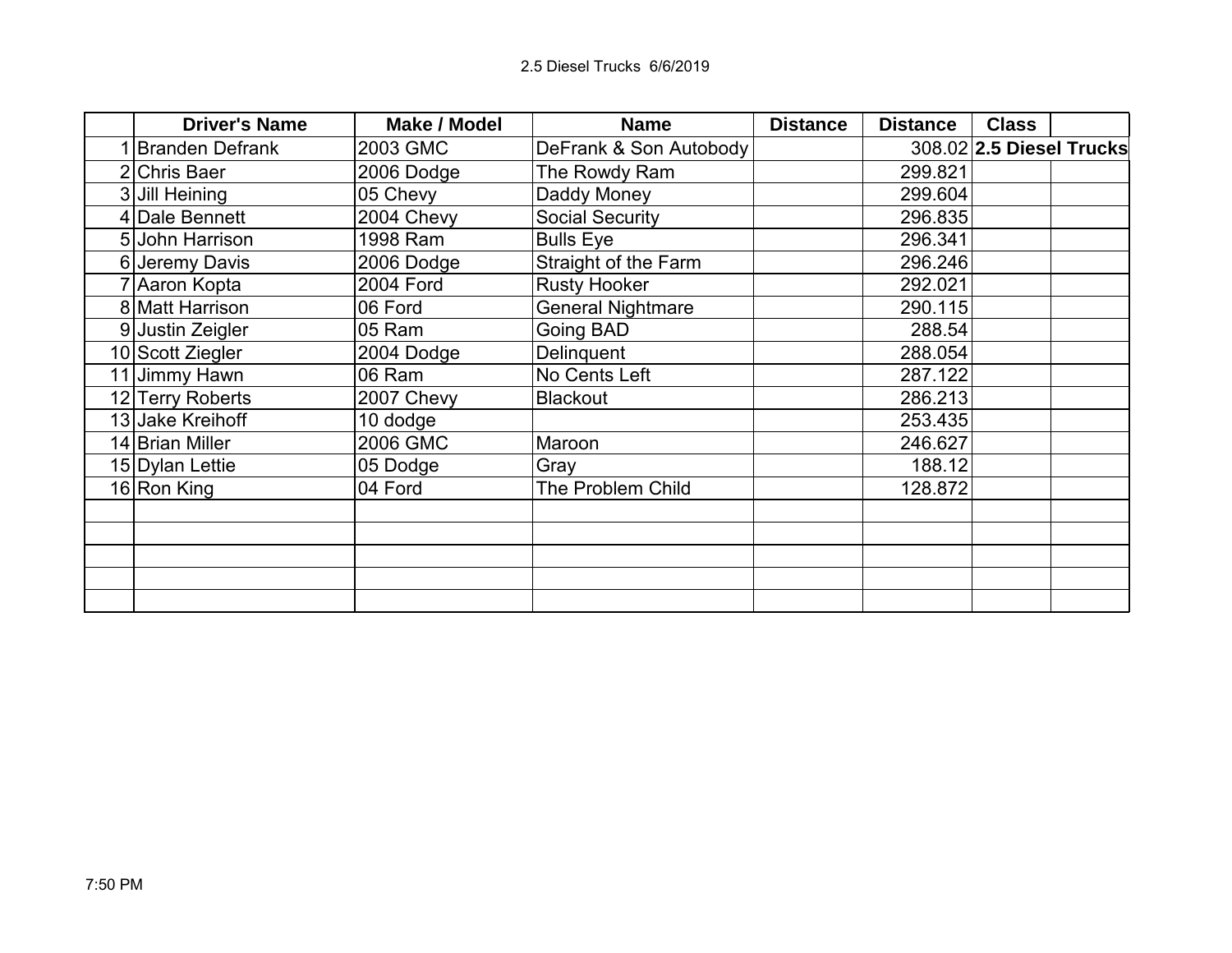| <b>Driver's Name</b>   | <b>Make / Model</b> | <b>Name</b>              | <b>Distance</b> | <b>Distance</b> | <b>Class</b>             |  |
|------------------------|---------------------|--------------------------|-----------------|-----------------|--------------------------|--|
| <b>Branden Defrank</b> | 2003 GMC            | DeFrank & Son Autobody   |                 |                 | 308.02 2.5 Diesel Trucks |  |
| 2 Chris Baer           | 2006 Dodge          | The Rowdy Ram            |                 | 299.821         |                          |  |
| 3 Jill Heining         | 05 Chevy            | Daddy Money              |                 | 299.604         |                          |  |
| 4 Dale Bennett         | 2004 Chevy          | <b>Social Security</b>   |                 | 296.835         |                          |  |
| 5 John Harrison        | 1998 Ram            | <b>Bulls Eye</b>         |                 | 296.341         |                          |  |
| 6 Jeremy Davis         | 2006 Dodge          | Straight of the Farm     |                 | 296.246         |                          |  |
| 7 Aaron Kopta          | <b>2004 Ford</b>    | <b>Rusty Hooker</b>      |                 | 292.021         |                          |  |
| 8 Matt Harrison        | 06 Ford             | <b>General Nightmare</b> |                 | 290.115         |                          |  |
| 9 Justin Zeigler       | 05 Ram              | Going BAD                |                 | 288.54          |                          |  |
| 10 Scott Ziegler       | 2004 Dodge          | Delinquent               |                 | 288.054         |                          |  |
| 11 Jimmy Hawn          | 06 Ram              | No Cents Left            |                 | 287.122         |                          |  |
| 12 Terry Roberts       | 2007 Chevy          | <b>Blackout</b>          |                 | 286.213         |                          |  |
| 13 Jake Kreihoff       | 10 dodge            |                          |                 | 253.435         |                          |  |
| 14 Brian Miller        | 2006 GMC            | Maroon                   |                 | 246.627         |                          |  |
| 15 Dylan Lettie        | 05 Dodge            | Gray                     |                 | 188.12          |                          |  |
| 16 Ron King            | 04 Ford             | The Problem Child        |                 | 128.872         |                          |  |
|                        |                     |                          |                 |                 |                          |  |
|                        |                     |                          |                 |                 |                          |  |
|                        |                     |                          |                 |                 |                          |  |
|                        |                     |                          |                 |                 |                          |  |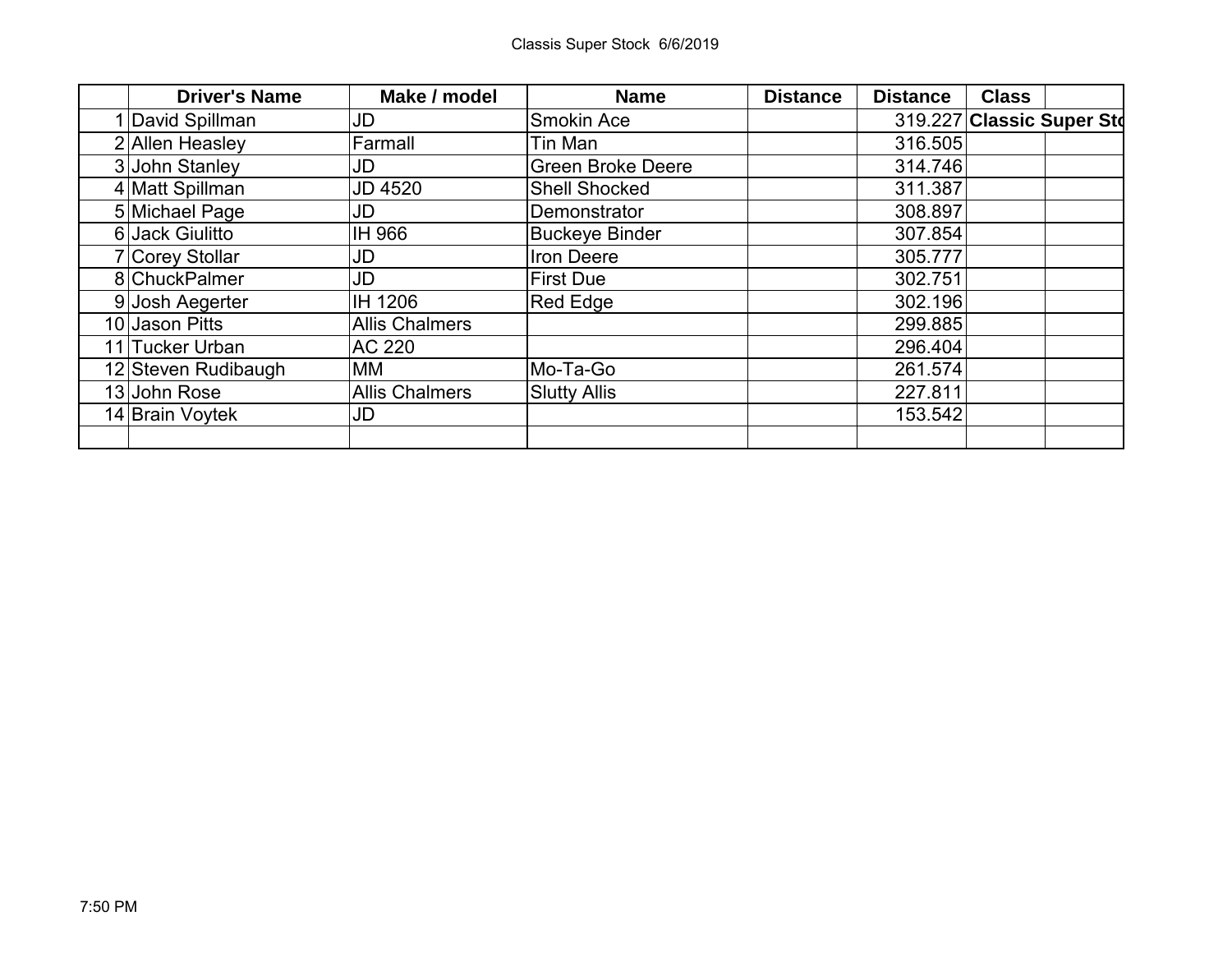| <b>Driver's Name</b> | Make / model          | <b>Name</b>              | <b>Distance</b> | <b>Distance</b> | <b>Class</b>              |  |
|----------------------|-----------------------|--------------------------|-----------------|-----------------|---------------------------|--|
| 1 David Spillman     | JD                    | <b>Smokin Ace</b>        |                 |                 | 319.227 Classic Super Std |  |
| 2 Allen Heasley      | Farmall               | Tin Man                  |                 | 316.505         |                           |  |
| 3 John Stanley       | JD                    | <b>Green Broke Deere</b> |                 | 314.746         |                           |  |
| 4 Matt Spillman      | <b>JD 4520</b>        | <b>Shell Shocked</b>     |                 | 311.387         |                           |  |
| 5 Michael Page       | JD                    | Demonstrator             |                 | 308.897         |                           |  |
| 6 Jack Giulitto      | IH 966                | <b>Buckeye Binder</b>    |                 | 307.854         |                           |  |
| 7 Corey Stollar      | JD                    | Iron Deere               |                 | 305.777         |                           |  |
| 8 ChuckPalmer        | JD                    | <b>First Due</b>         |                 | 302.751         |                           |  |
| 9 Josh Aegerter      | IH 1206               | <b>Red Edge</b>          |                 | 302.196         |                           |  |
| 10 Jason Pitts       | <b>Allis Chalmers</b> |                          |                 | 299.885         |                           |  |
| 11 Tucker Urban      | AC 220                |                          |                 | 296.404         |                           |  |
| 12 Steven Rudibaugh  | МM                    | Mo-Ta-Go                 |                 | 261.574         |                           |  |
| 13 John Rose         | <b>Allis Chalmers</b> | <b>Slutty Allis</b>      |                 | 227.811         |                           |  |
| 14 Brain Voytek      | JD                    |                          |                 | 153.542         |                           |  |
|                      |                       |                          |                 |                 |                           |  |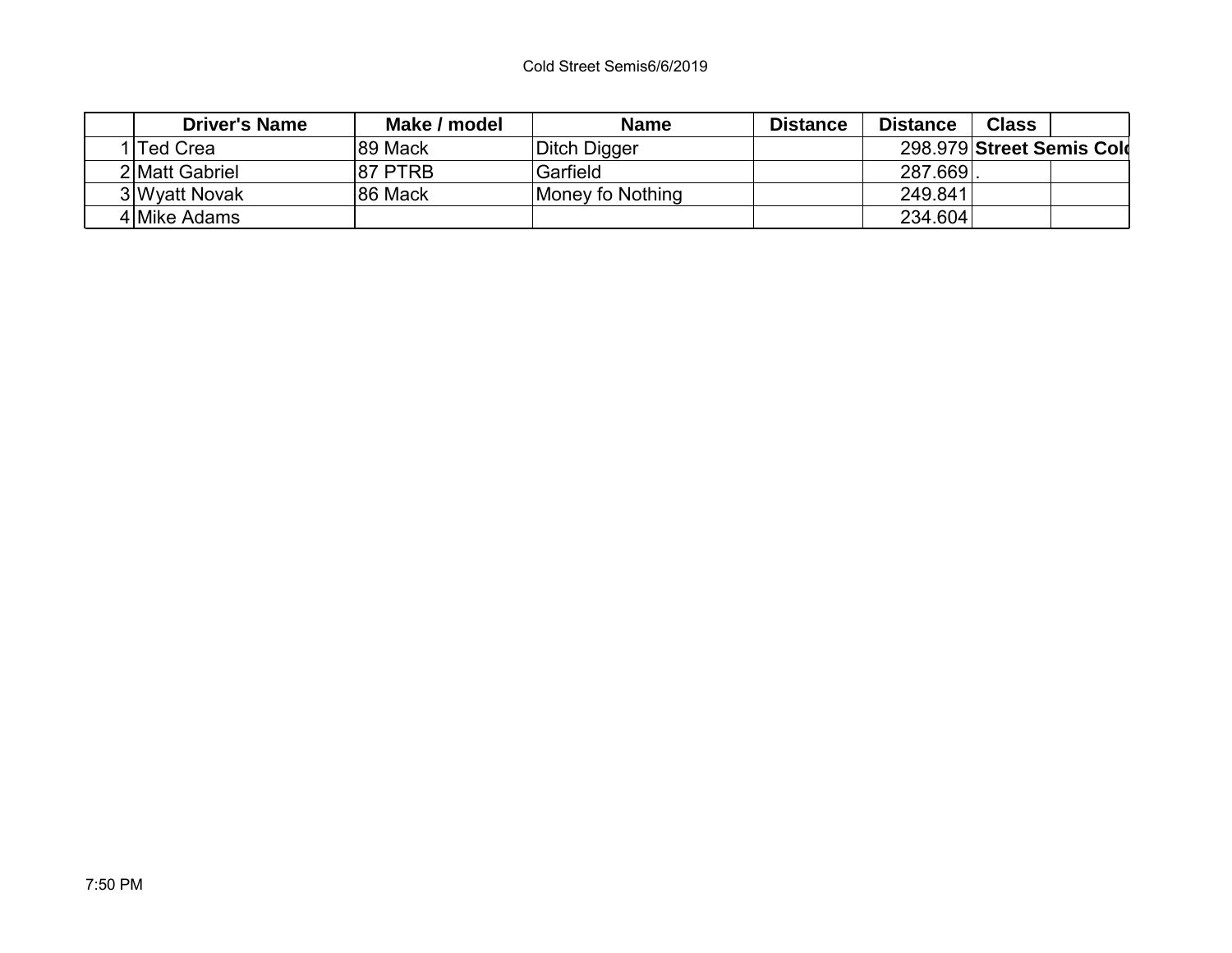| <b>Driver's Name</b> | Make / model | <b>Name</b>      | <b>Distance</b> | <b>Distance</b> | <b>Class</b>              |  |
|----------------------|--------------|------------------|-----------------|-----------------|---------------------------|--|
| <b>Ted Crea</b>      | 89 Mack      | Ditch Digger     |                 |                 | 298.979 Street Semis Cold |  |
| 2 Matt Gabriel       | 87 PTRB      | Garfield         |                 | 287.669.        |                           |  |
| 3 Wyatt Novak        | 86 Mack      | Money fo Nothing |                 | 249.841         |                           |  |
| 4 Mike Adams         |              |                  |                 | 234.604         |                           |  |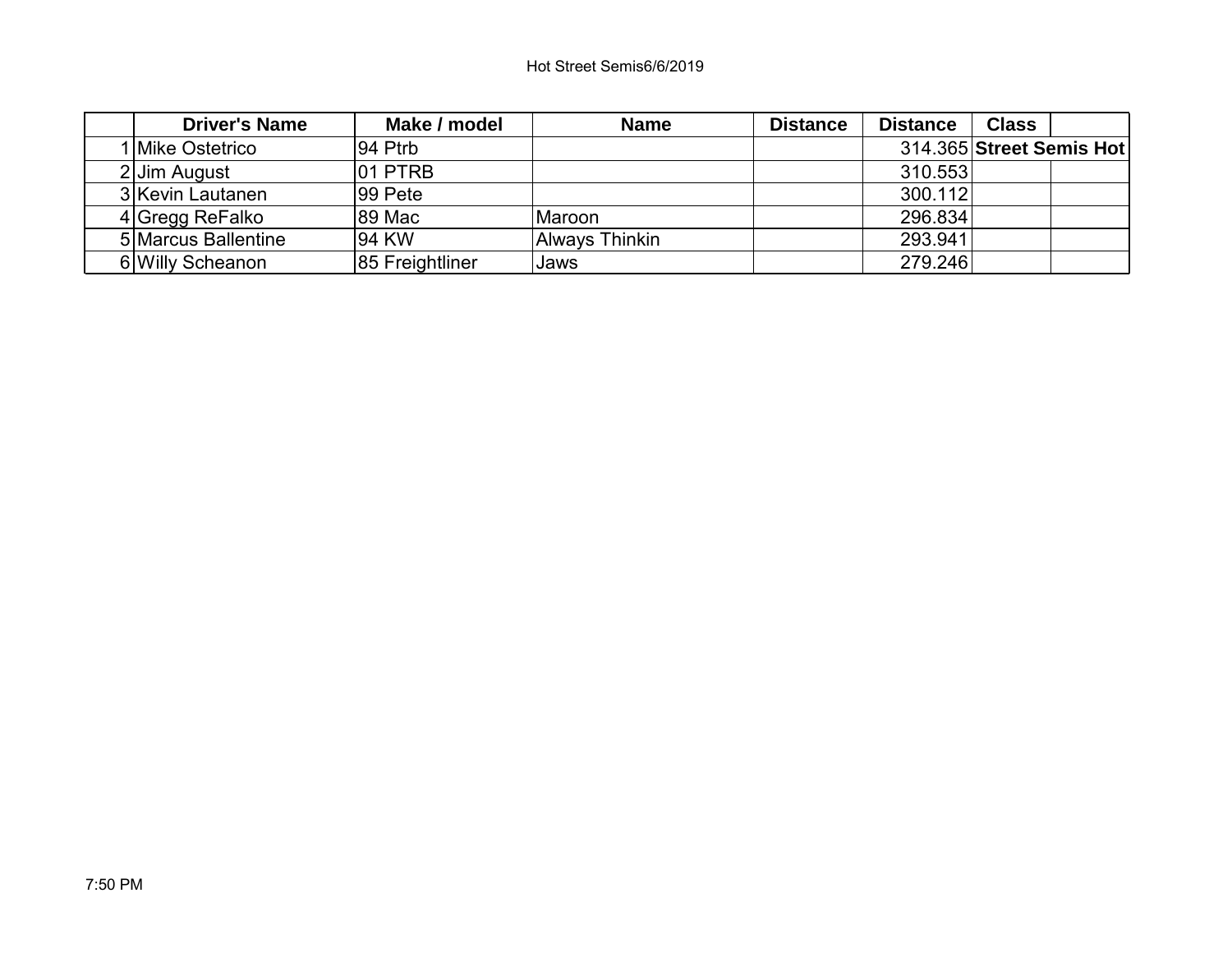| <b>Driver's Name</b> | Make / model    | <b>Name</b>    | <b>Distance</b> | <b>Distance</b> | <b>Class</b>             |  |
|----------------------|-----------------|----------------|-----------------|-----------------|--------------------------|--|
| I Mike Ostetrico     | ∣94 Ptrb        |                |                 |                 | 314.365 Street Semis Hot |  |
| 2 Jim August         | 101 PTRB        |                |                 | 310.553         |                          |  |
| 3 Kevin Lautanen     | ∣99 Pete        |                |                 | 300.112         |                          |  |
| 4 Gregg ReFalko      | 89 Mac          | lMaroon.       |                 | 296.834         |                          |  |
| 5 Marcus Ballentine  | 94 KW           | Always Thinkin |                 | 293.941         |                          |  |
| 6 Willy Scheanon     | 85 Freightliner | Jaws           |                 | 279.246         |                          |  |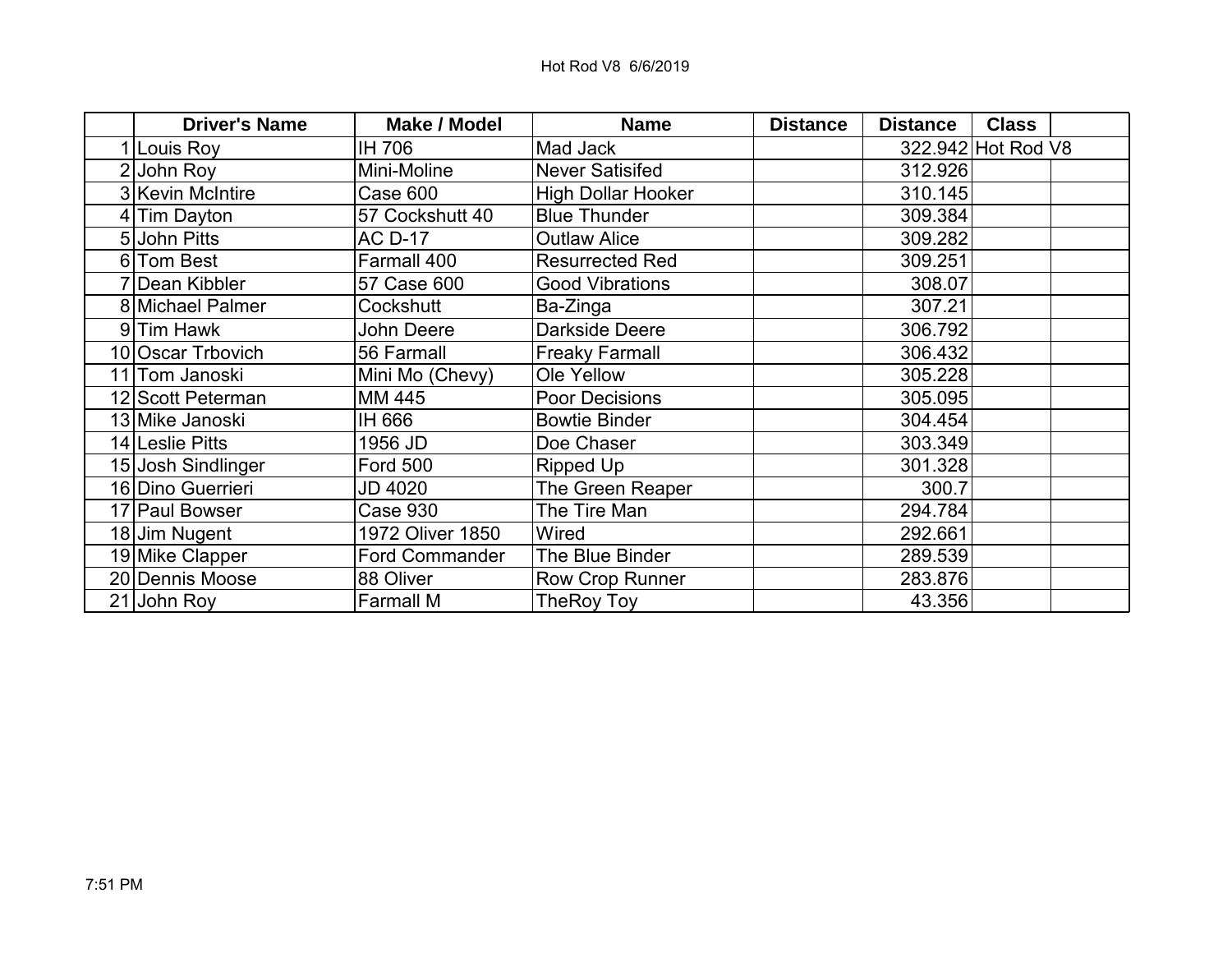| <b>Driver's Name</b> | <b>Make / Model</b>   | <b>Name</b>               | <b>Distance</b> | <b>Distance</b> | <b>Class</b>       |
|----------------------|-----------------------|---------------------------|-----------------|-----------------|--------------------|
| 1 Louis Roy          | IH 706                | Mad Jack                  |                 |                 | 322.942 Hot Rod V8 |
| $2$ John Roy         | Mini-Moline           | <b>Never Satisifed</b>    |                 | 312.926         |                    |
| 3 Kevin McIntire     | Case 600              | <b>High Dollar Hooker</b> |                 | 310.145         |                    |
| 4 Tim Dayton         | 57 Cockshutt 40       | <b>Blue Thunder</b>       |                 | 309.384         |                    |
| 5 John Pitts         | <b>AC D-17</b>        | <b>Outlaw Alice</b>       |                 | 309.282         |                    |
| 6 Tom Best           | Farmall 400           | <b>Resurrected Red</b>    |                 | 309.251         |                    |
| 7 Dean Kibbler       | 57 Case 600           | <b>Good Vibrations</b>    |                 | 308.07          |                    |
| 8 Michael Palmer     | Cockshutt             | Ba-Zinga                  |                 | 307.21          |                    |
| 9 Tim Hawk           | John Deere            | <b>Darkside Deere</b>     |                 | 306.792         |                    |
| 10 Oscar Trbovich    | 56 Farmall            | <b>Freaky Farmall</b>     |                 | 306.432         |                    |
| 11 Tom Janoski       | Mini Mo (Chevy)       | Ole Yellow                |                 | 305.228         |                    |
| 12 Scott Peterman    | MM 445                | <b>Poor Decisions</b>     |                 | 305.095         |                    |
| 13 Mike Janoski      | IH 666                | <b>Bowtie Binder</b>      |                 | 304.454         |                    |
| 14 Leslie Pitts      | 1956 JD               | Doe Chaser                |                 | 303.349         |                    |
| 15 Josh Sindlinger   | <b>Ford 500</b>       | Ripped Up                 |                 | 301.328         |                    |
| 16 Dino Guerrieri    | <b>JD 4020</b>        | The Green Reaper          |                 | 300.7           |                    |
| 17 Paul Bowser       | Case 930              | The Tire Man              |                 | 294.784         |                    |
| 18 Jim Nugent        | 1972 Oliver 1850      | Wired                     |                 | 292.661         |                    |
| 19 Mike Clapper      | <b>Ford Commander</b> | The Blue Binder           |                 | 289.539         |                    |
| 20 Dennis Moose      | 88 Oliver             | Row Crop Runner           |                 | 283.876         |                    |
| 21 John Roy          | <b>Farmall M</b>      | TheRoy Toy                |                 | 43.356          |                    |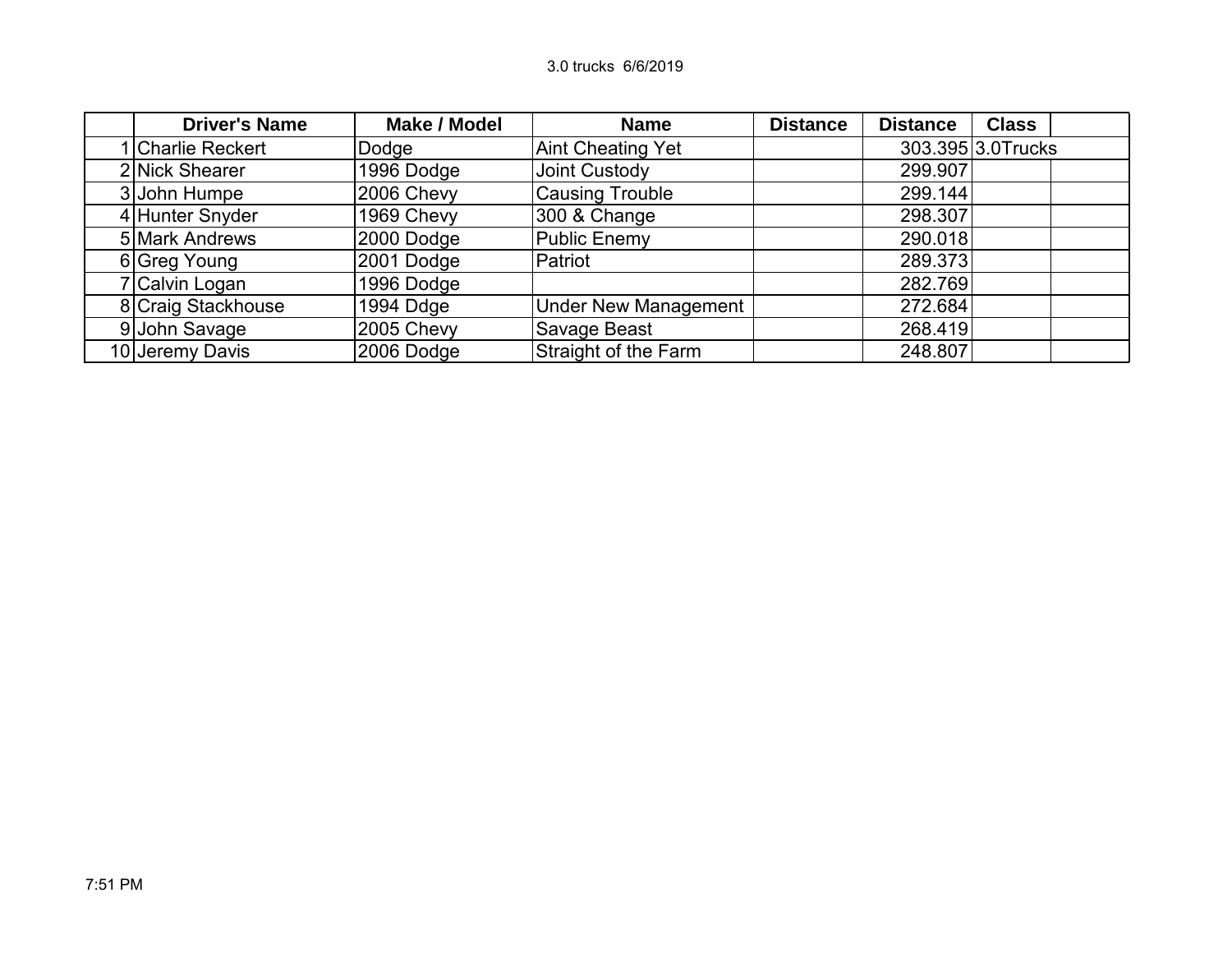| <b>Driver's Name</b> | <b>Make / Model</b> | <b>Name</b>                 | <b>Distance</b> | <b>Distance</b> | <b>Class</b>      |  |
|----------------------|---------------------|-----------------------------|-----------------|-----------------|-------------------|--|
| 1 Charlie Reckert    | Dodge               | <b>Aint Cheating Yet</b>    |                 |                 | 303.395 3.0Trucks |  |
| 2 Nick Shearer       | 1996 Dodge          | Joint Custody               |                 | 299.907         |                   |  |
| 3 John Humpe         | 2006 Chevy          | <b>Causing Trouble</b>      |                 | 299.144         |                   |  |
| 4 Hunter Snyder      | 1969 Chevy          | 300 & Change                |                 | 298.307         |                   |  |
| 5 Mark Andrews       | 2000 Dodge          | Public Enemy                |                 | 290.018         |                   |  |
| 6 Greg Young         | 2001 Dodge          | Patriot                     |                 | 289.373         |                   |  |
| 7 Calvin Logan       | 1996 Dodge          |                             |                 | 282.769         |                   |  |
| 8 Craig Stackhouse   | 1994 Ddge           | <b>Under New Management</b> |                 | 272.684         |                   |  |
| 9 John Savage        | 2005 Chevy          | Savage Beast                |                 | 268.419         |                   |  |
| 10 Jeremy Davis      | 2006 Dodge          | Straight of the Farm        |                 | 248.807         |                   |  |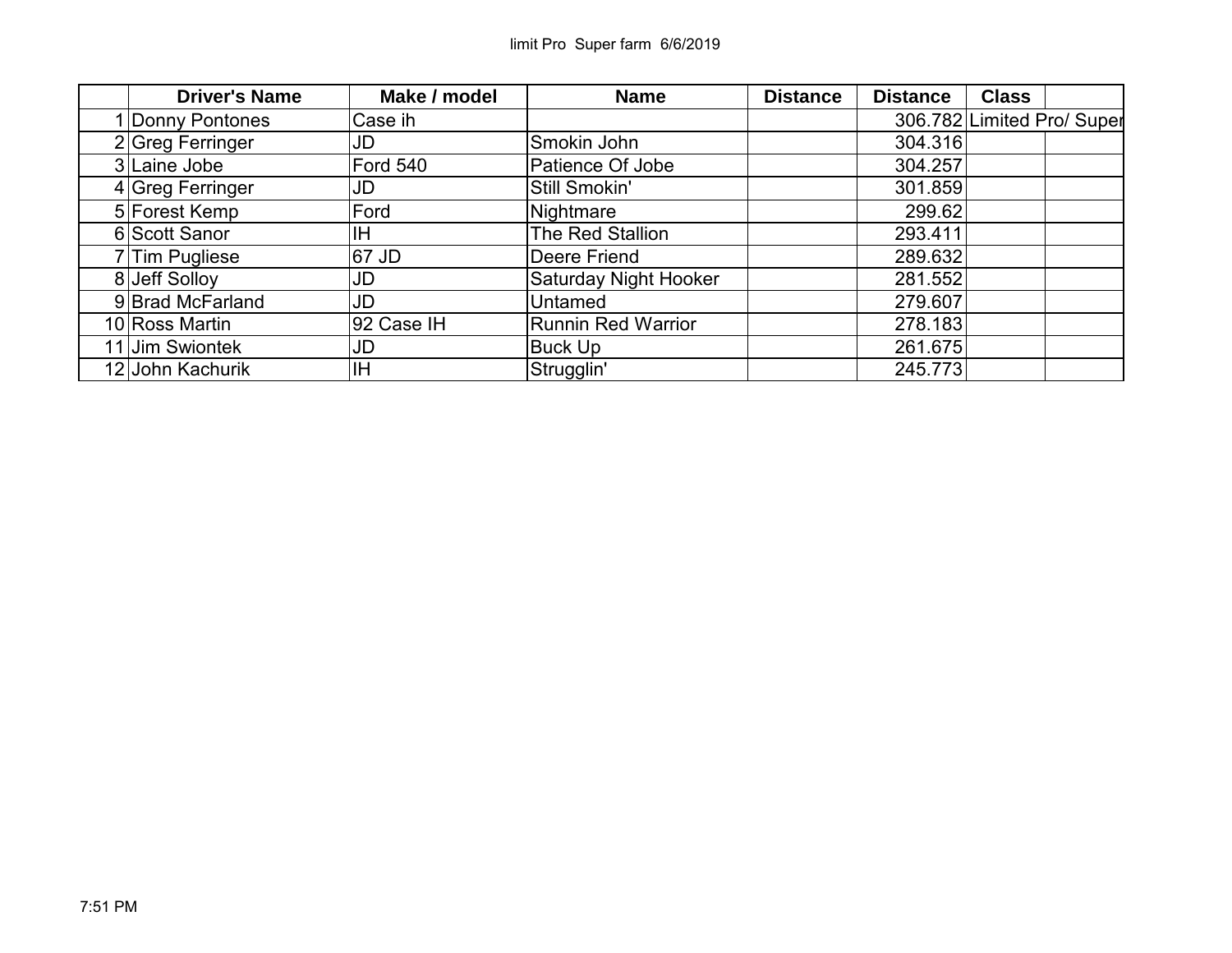| <b>Driver's Name</b> | Make / model | <b>Name</b>                  | <b>Distance</b> | <b>Distance</b> | <b>Class</b> |                            |
|----------------------|--------------|------------------------------|-----------------|-----------------|--------------|----------------------------|
| 1 Donny Pontones     | Case ih      |                              |                 |                 |              | 306.782 Limited Pro/ Super |
| 2 Greg Ferringer     | JD           | Smokin John                  |                 | 304.316         |              |                            |
| 3 Laine Jobe         | Ford 540     | Patience Of Jobe             |                 | 304.257         |              |                            |
| 4 Greg Ferringer     | JD           | Still Smokin'                |                 | 301.859         |              |                            |
| 5 Forest Kemp        | Ford         | Nightmare                    |                 | 299.62          |              |                            |
| 6 Scott Sanor        | ΙH           | The Red Stallion             |                 | 293.411         |              |                            |
| 7 Tim Pugliese       | 67 JD        | Deere Friend                 |                 | 289.632         |              |                            |
| 8 Jeff Solloy        | JD           | <b>Saturday Night Hooker</b> |                 | 281.552         |              |                            |
| 9 Brad McFarland     | JD           | Untamed                      |                 | 279.607         |              |                            |
| 10 Ross Martin       | 92 Case IH   | <b>Runnin Red Warrior</b>    |                 | 278.183         |              |                            |
| 11 Jim Swiontek      | JD           | <b>Buck Up</b>               |                 | 261.675         |              |                            |
| 12 John Kachurik     | ΙH           | Strugglin'                   |                 | 245.773         |              |                            |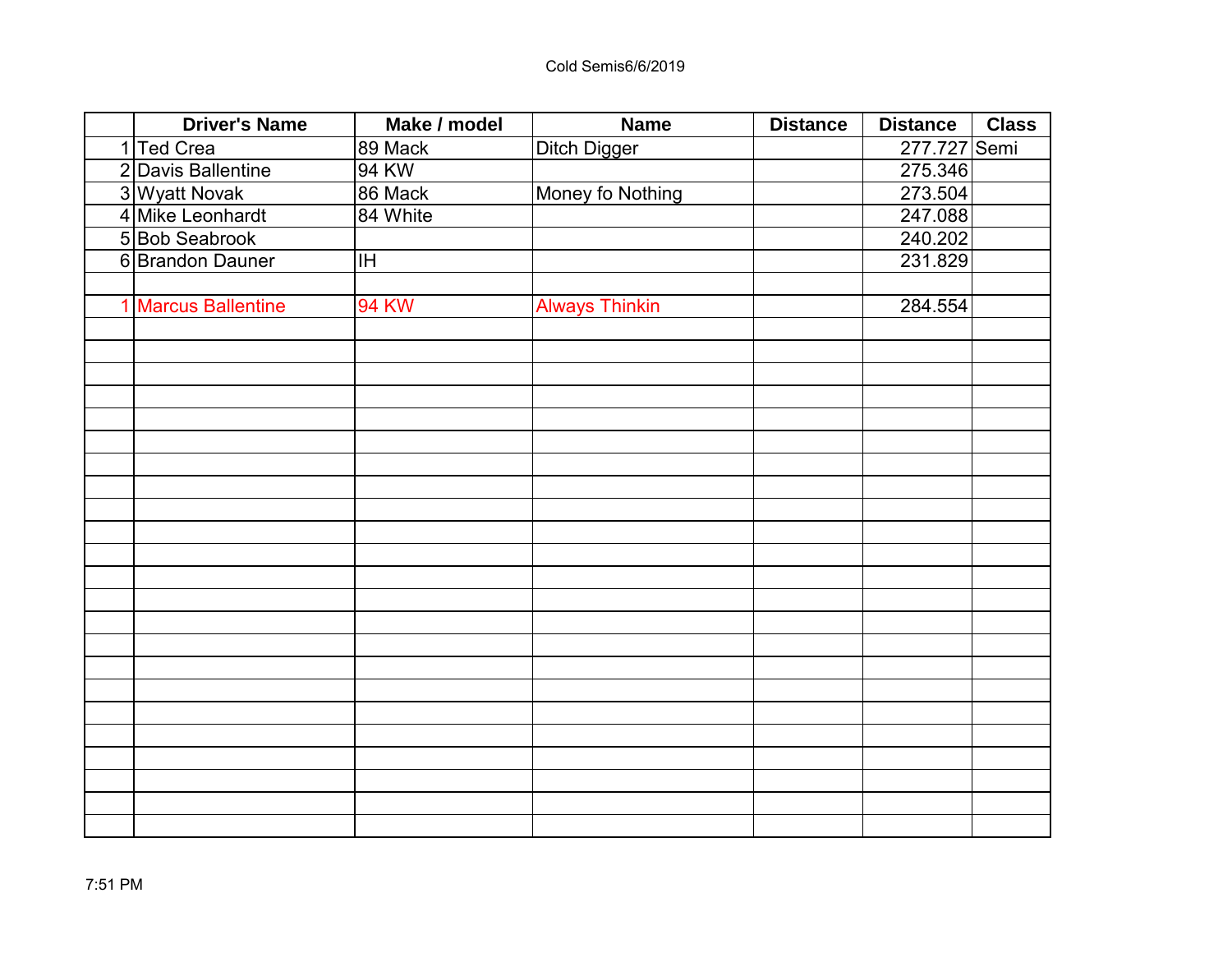| <b>Driver's Name</b> | Make / model | <b>Name</b>           | <b>Distance</b> | <b>Distance</b> | <b>Class</b> |
|----------------------|--------------|-----------------------|-----------------|-----------------|--------------|
| 1 Ted Crea           | 89 Mack      | <b>Ditch Digger</b>   |                 | 277.727 Semi    |              |
| 2 Davis Ballentine   | 94 KW        |                       |                 | 275.346         |              |
| 3 Wyatt Novak        | 86 Mack      | Money fo Nothing      |                 | 273.504         |              |
| 4 Mike Leonhardt     | 84 White     |                       |                 | 247.088         |              |
| 5 Bob Seabrook       |              |                       |                 | 240.202         |              |
| 6 Brandon Dauner     | IH           |                       |                 | 231.829         |              |
|                      |              |                       |                 |                 |              |
| 1 Marcus Ballentine  | <b>94 KW</b> | <b>Always Thinkin</b> |                 | 284.554         |              |
|                      |              |                       |                 |                 |              |
|                      |              |                       |                 |                 |              |
|                      |              |                       |                 |                 |              |
|                      |              |                       |                 |                 |              |
|                      |              |                       |                 |                 |              |
|                      |              |                       |                 |                 |              |
|                      |              |                       |                 |                 |              |
|                      |              |                       |                 |                 |              |
|                      |              |                       |                 |                 |              |
|                      |              |                       |                 |                 |              |
|                      |              |                       |                 |                 |              |
|                      |              |                       |                 |                 |              |
|                      |              |                       |                 |                 |              |
|                      |              |                       |                 |                 |              |
|                      |              |                       |                 |                 |              |
|                      |              |                       |                 |                 |              |
|                      |              |                       |                 |                 |              |
|                      |              |                       |                 |                 |              |
|                      |              |                       |                 |                 |              |
|                      |              |                       |                 |                 |              |
|                      |              |                       |                 |                 |              |
|                      |              |                       |                 |                 |              |
|                      |              |                       |                 |                 |              |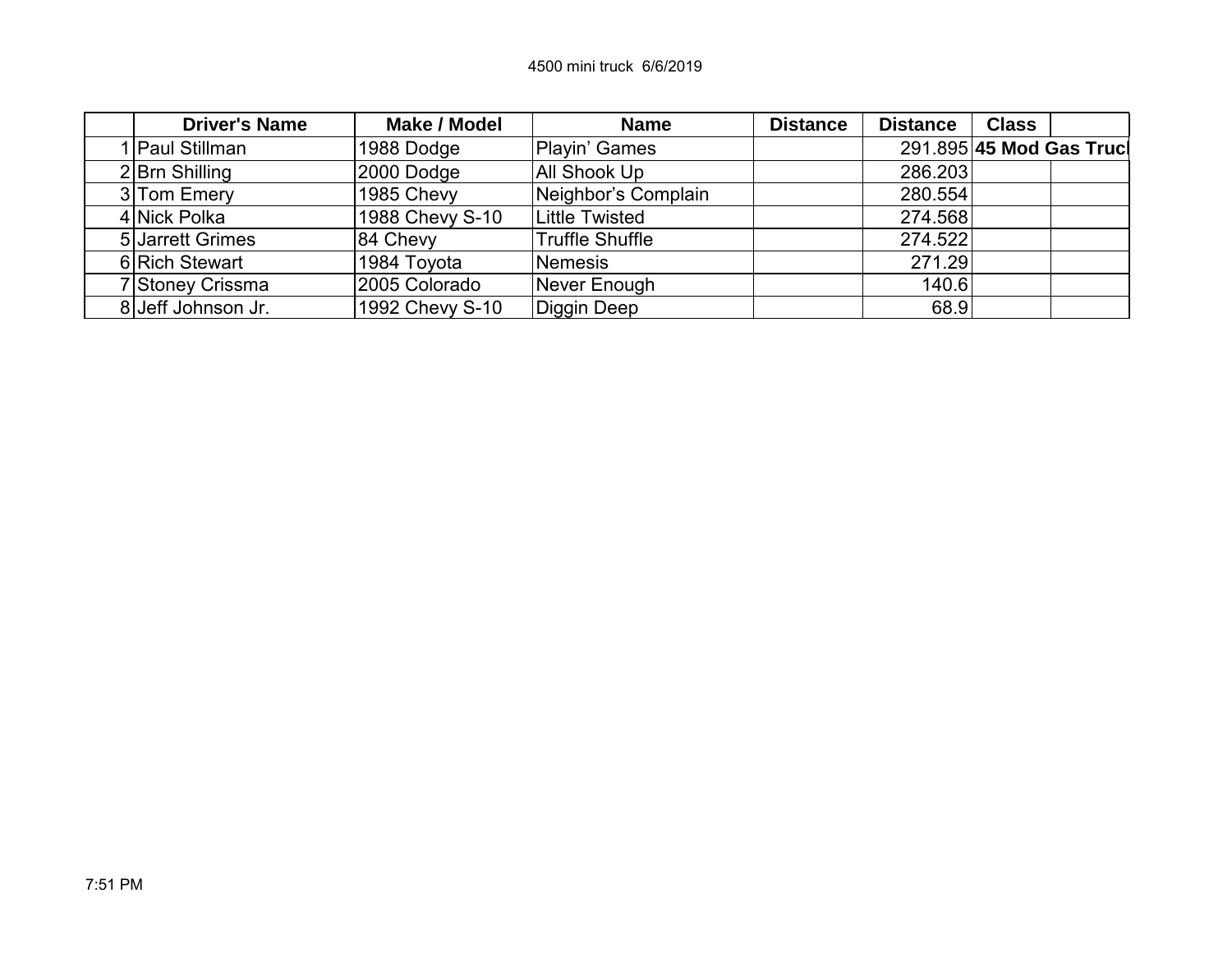| <b>Driver's Name</b> | Make / Model             | <b>Name</b>            | <b>Distance</b> | <b>Distance</b> | <b>Class</b> |                          |
|----------------------|--------------------------|------------------------|-----------------|-----------------|--------------|--------------------------|
| <b>Paul Stillman</b> | 1988 Dodge               | Playin' Games          |                 |                 |              | 291.895 45 Mod Gas Truck |
| $2$ Brn Shilling     | $ 2000$ Dodge            | All Shook Up           |                 | 286.203         |              |                          |
| 3 Tom Emery          | 1985 Chevy               | Neighbor's Complain    |                 | 280.554         |              |                          |
| 4 Nick Polka         | 1988 Chevy S-10          | <b>Little Twisted</b>  |                 | 274.568         |              |                          |
| 5 Jarrett Grimes     | 84 Chevy                 | <b>Truffle Shuffle</b> |                 | 274.522         |              |                          |
| 6 Rich Stewart       | <sup>⊥</sup> 1984 Toyota | <b>Nemesis</b>         |                 | 271.29          |              |                          |
| 7 Stoney Crissma     | 2005 Colorado            | Never Enough           |                 | 140.6           |              |                          |
| 8 Jeff Johnson Jr.   | 1992 Chevy S-10          | Diggin Deep            |                 | 68.9            |              |                          |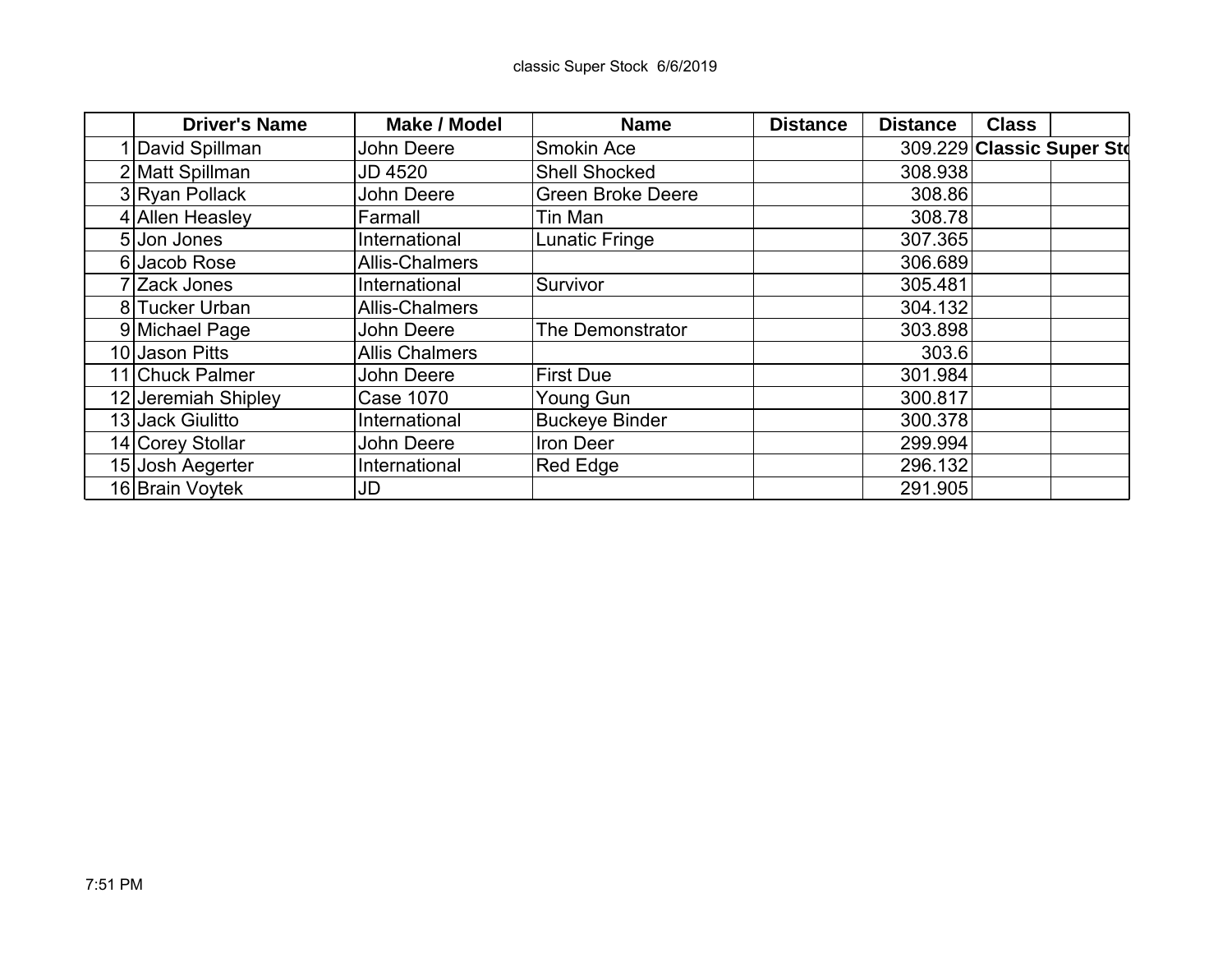| <b>Driver's Name</b> | <b>Make / Model</b>   | <b>Name</b>              | <b>Distance</b> | <b>Distance</b> | <b>Class</b> |                           |
|----------------------|-----------------------|--------------------------|-----------------|-----------------|--------------|---------------------------|
| David Spillman       | John Deere            | <b>Smokin Ace</b>        |                 |                 |              | 309.229 Classic Super Std |
| 2 Matt Spillman      | <b>JD 4520</b>        | <b>Shell Shocked</b>     |                 | 308.938         |              |                           |
| 3 Ryan Pollack       | John Deere            | <b>Green Broke Deere</b> |                 | 308.86          |              |                           |
| 4 Allen Heasley      | Farmall               | Tin Man                  |                 | 308.78          |              |                           |
| 5 Jon Jones          | International         | Lunatic Fringe           |                 | 307.365         |              |                           |
| 6 Jacob Rose         | <b>Allis-Chalmers</b> |                          |                 | 306.689         |              |                           |
| 7 Zack Jones         | International         | Survivor                 |                 | 305.481         |              |                           |
| 8 Tucker Urban       | Allis-Chalmers        |                          |                 | 304.132         |              |                           |
| 9 Michael Page       | John Deere            | The Demonstrator         |                 | 303.898         |              |                           |
| 10 Jason Pitts       | <b>Allis Chalmers</b> |                          |                 | 303.6           |              |                           |
| 11 Chuck Palmer      | John Deere            | <b>First Due</b>         |                 | 301.984         |              |                           |
| 12 Jeremiah Shipley  | Case 1070             | Young Gun                |                 | 300.817         |              |                           |
| 13 Jack Giulitto     | International         | <b>Buckeye Binder</b>    |                 | 300.378         |              |                           |
| 14 Corey Stollar     | John Deere            | Iron Deer                |                 | 299.994         |              |                           |
| 15 Josh Aegerter     | International         | <b>Red Edge</b>          |                 | 296.132         |              |                           |
| 16 Brain Voytek      | JD                    |                          |                 | 291.905         |              |                           |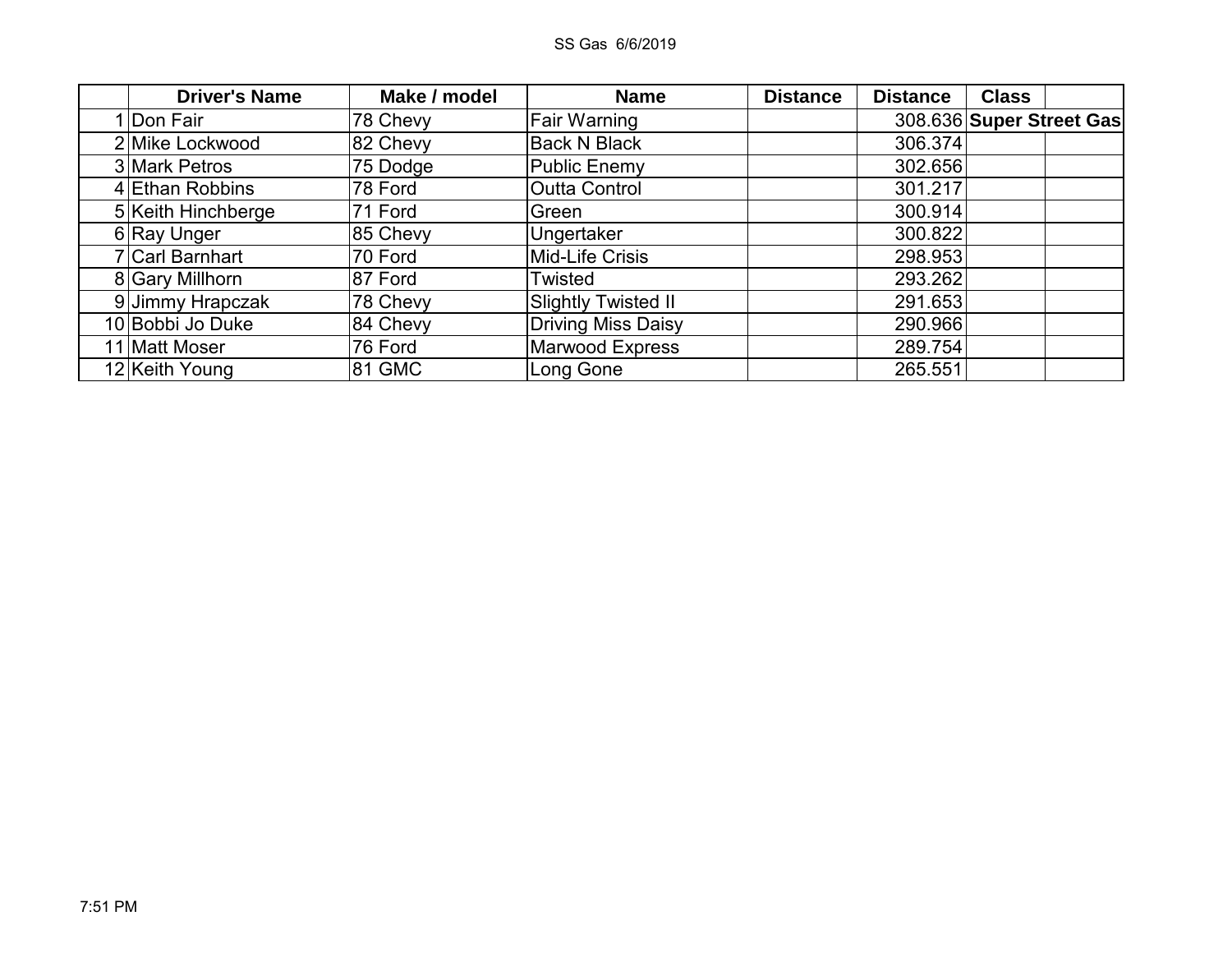| <b>Driver's Name</b> | Make / model | <b>Name</b>                | <b>Distance</b> | <b>Distance</b> | <b>Class</b>             |  |
|----------------------|--------------|----------------------------|-----------------|-----------------|--------------------------|--|
| 1 Don Fair           | 78 Chevy     | Fair Warning               |                 |                 | 308.636 Super Street Gas |  |
| 2 Mike Lockwood      | 82 Chevy     | <b>Back N Black</b>        |                 | 306.374         |                          |  |
| 3 Mark Petros        | 75 Dodge     | <b>Public Enemy</b>        |                 | 302.656         |                          |  |
| 4 Ethan Robbins      | 78 Ford      | <b>Outta Control</b>       |                 | 301.217         |                          |  |
| 5 Keith Hinchberge   | 71 Ford      | Green                      |                 | 300.914         |                          |  |
| 6 Ray Unger          | 85 Chevy     | Ungertaker                 |                 | 300.822         |                          |  |
| 7 Carl Barnhart      | 70 Ford      | Mid-Life Crisis            |                 | 298.953         |                          |  |
| 8 Gary Millhorn      | 87 Ford      | Twisted                    |                 | 293.262         |                          |  |
| 9 Jimmy Hrapczak     | 78 Chevy     | <b>Slightly Twisted II</b> |                 | 291.653         |                          |  |
| 10 Bobbi Jo Duke     | 84 Chevy     | <b>Driving Miss Daisy</b>  |                 | 290.966         |                          |  |
| 11 Matt Moser        | 76 Ford      | <b>Marwood Express</b>     |                 | 289.754         |                          |  |
| 12 Keith Young       | 81 GMC       | Long Gone                  |                 | 265.551         |                          |  |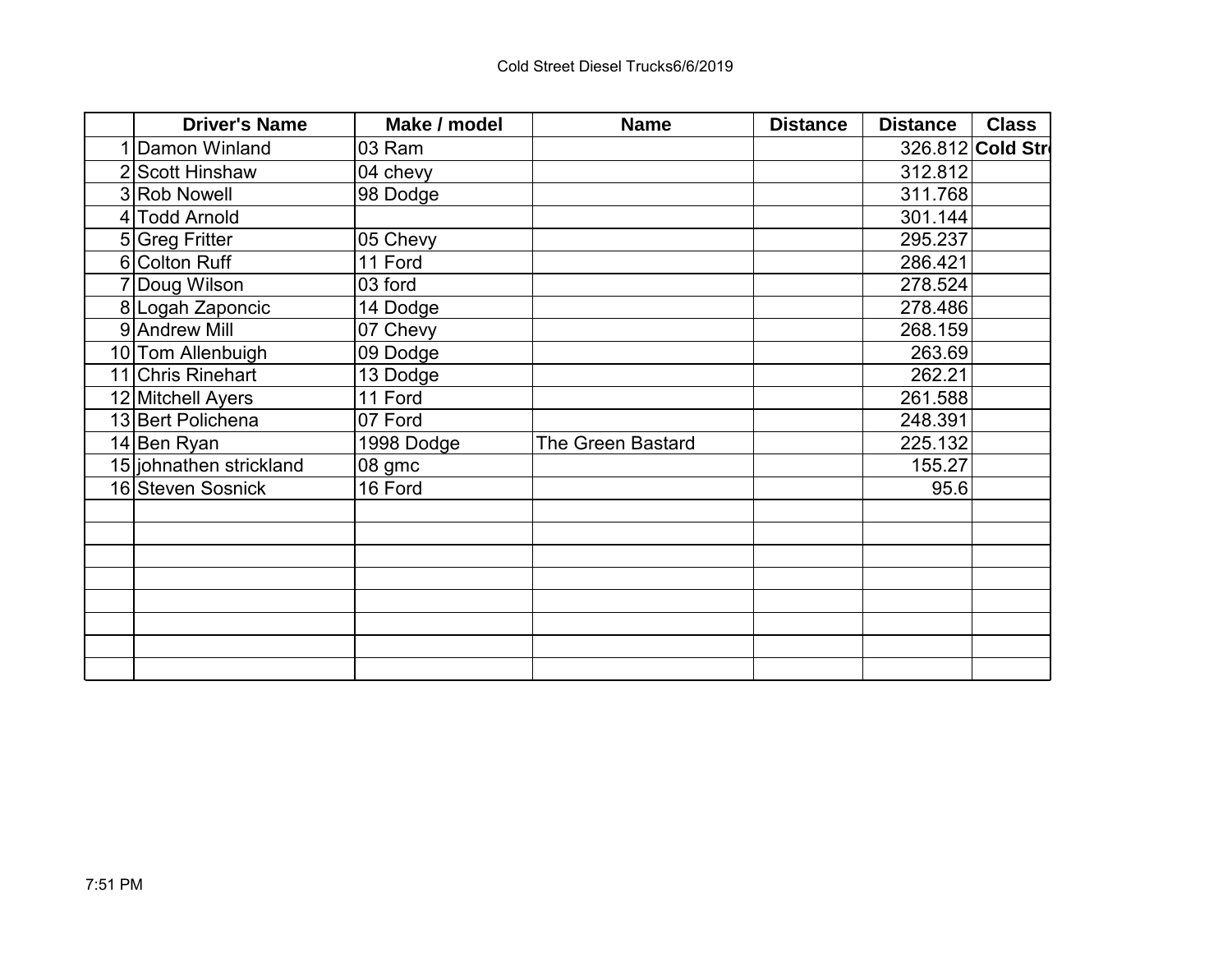| <b>Driver's Name</b>    | Make / model | <b>Name</b>              | <b>Distance</b> | <b>Distance</b> | <b>Class</b>     |
|-------------------------|--------------|--------------------------|-----------------|-----------------|------------------|
| Damon Winland           | 03 Ram       |                          |                 |                 | 326.812 Cold Str |
| 2 Scott Hinshaw         | 04 chevy     |                          |                 | 312.812         |                  |
| 3 Rob Nowell            | 98 Dodge     |                          |                 | 311.768         |                  |
| 4 Todd Arnold           |              |                          |                 | 301.144         |                  |
| 5 Greg Fritter          | 05 Chevy     |                          |                 | 295.237         |                  |
| 6 Colton Ruff           | 11 Ford      |                          |                 | 286.421         |                  |
| 7 Doug Wilson           | 03 ford      |                          |                 | 278.524         |                  |
| 8 Logah Zaponcic        | 14 Dodge     |                          |                 | 278.486         |                  |
| 9 Andrew Mill           | 07 Chevy     |                          |                 | 268.159         |                  |
| 10 Tom Allenbuigh       | 09 Dodge     |                          |                 | 263.69          |                  |
| 11 Chris Rinehart       | 13 Dodge     |                          |                 | 262.21          |                  |
| 12 Mitchell Ayers       | 11 Ford      |                          |                 | 261.588         |                  |
| 13 Bert Polichena       | 07 Ford      |                          |                 | 248.391         |                  |
| 14 Ben Ryan             | 1998 Dodge   | <b>The Green Bastard</b> |                 | 225.132         |                  |
| 15 johnathen strickland | 08 gmc       |                          |                 | 155.27          |                  |
| 16 Steven Sosnick       | 16 Ford      |                          |                 | 95.6            |                  |
|                         |              |                          |                 |                 |                  |
|                         |              |                          |                 |                 |                  |
|                         |              |                          |                 |                 |                  |
|                         |              |                          |                 |                 |                  |
|                         |              |                          |                 |                 |                  |
|                         |              |                          |                 |                 |                  |
|                         |              |                          |                 |                 |                  |
|                         |              |                          |                 |                 |                  |